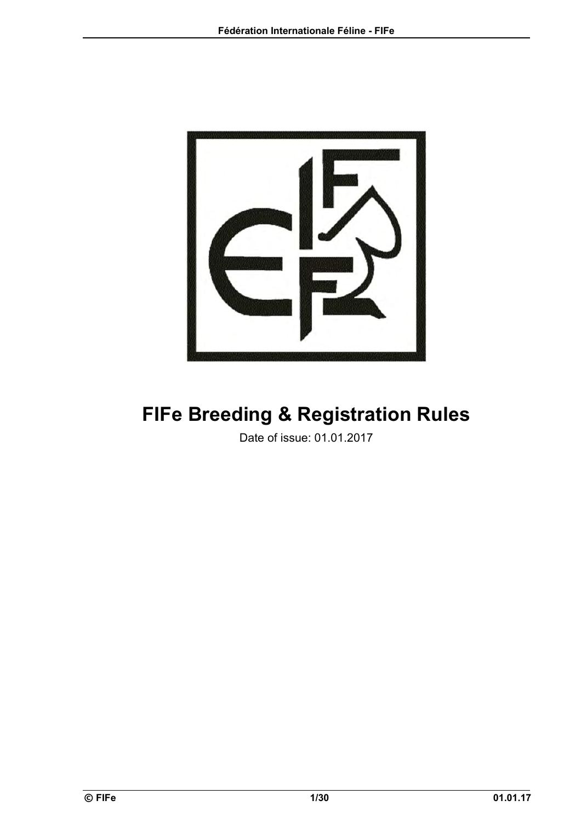

# **FIFe Breeding & Registration Rules**

Date of issue: 01.01.2017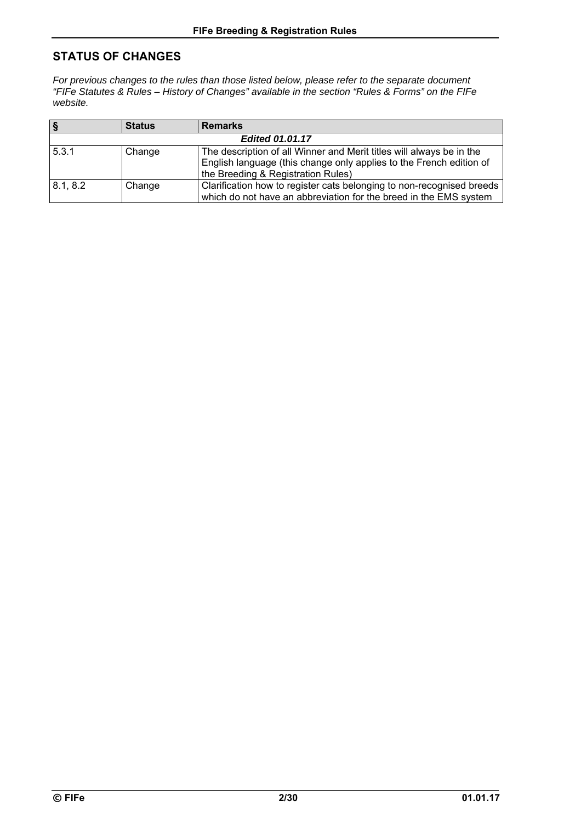# **STATUS OF CHANGES**

*For previous changes to the rules than those listed below, please refer to the separate document "FIFe Statutes & Rules – History of Changes" available in the section "Rules & Forms" on the FIFe website.* 

| ١§                     | <b>Status</b> | <b>Remarks</b>                                                                                                                                                                    |  |
|------------------------|---------------|-----------------------------------------------------------------------------------------------------------------------------------------------------------------------------------|--|
| <b>Edited 01.01.17</b> |               |                                                                                                                                                                                   |  |
| 5.3.1                  | Change        | The description of all Winner and Merit titles will always be in the<br>English language (this change only applies to the French edition of<br>the Breeding & Registration Rules) |  |
| 8.1, 8.2               | Change        | Clarification how to register cats belonging to non-recognised breeds<br>which do not have an abbreviation for the breed in the EMS system                                        |  |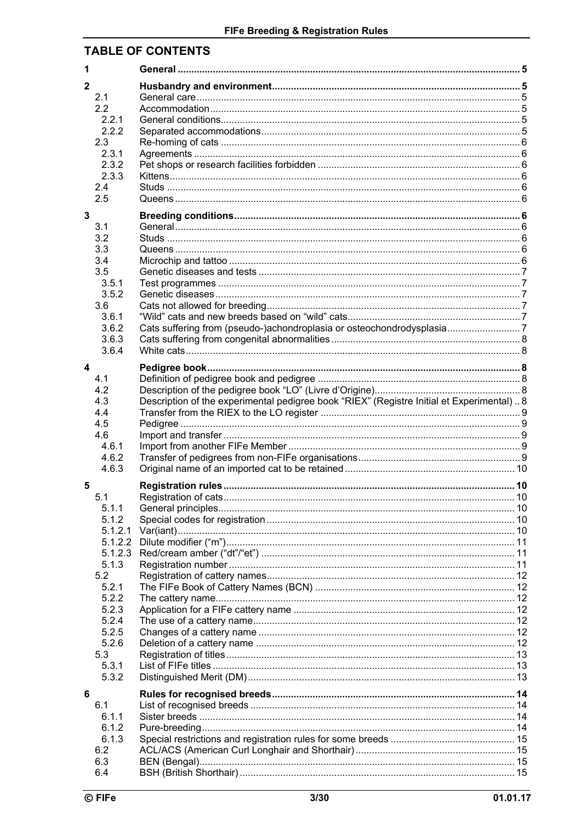# **TABLE OF CONTENTS**

| $\mathbf{2}$            | 2.1                |                                                                                            |  |
|-------------------------|--------------------|--------------------------------------------------------------------------------------------|--|
|                         | 2.2<br>2.2.1       |                                                                                            |  |
|                         | 2.2.2              |                                                                                            |  |
|                         | 2.3<br>2.3.1       |                                                                                            |  |
|                         | 2.3.2              |                                                                                            |  |
|                         | 2.3.3<br>2.4       |                                                                                            |  |
|                         | 2.5                |                                                                                            |  |
| $\mathbf 3$             |                    |                                                                                            |  |
|                         | 3.1<br>3.2         |                                                                                            |  |
|                         | 3.3                |                                                                                            |  |
|                         | 3.4<br>3.5         |                                                                                            |  |
|                         | 3.5.1              |                                                                                            |  |
|                         | 3.5.2<br>3.6       |                                                                                            |  |
|                         | 3.6.1              |                                                                                            |  |
|                         | 3.6.2<br>3.6.3     | Cats suffering from (pseudo-)achondroplasia or osteochondrodysplasia7                      |  |
|                         | 3.6.4              |                                                                                            |  |
| $\overline{\mathbf{4}}$ |                    |                                                                                            |  |
|                         | 4.1                |                                                                                            |  |
|                         | 4.2<br>4.3         | Description of the experimental pedigree book "RIEX" (Registre Initial et Experimental)  8 |  |
|                         | 4.4                |                                                                                            |  |
|                         | 4.5<br>4.6         |                                                                                            |  |
|                         | 4.6.1              |                                                                                            |  |
|                         | 4.6.2<br>4.6.3     |                                                                                            |  |
| 5                       |                    |                                                                                            |  |
|                         | 5.1                |                                                                                            |  |
|                         | 5.1.1<br>5.1.2     |                                                                                            |  |
|                         | 5.1.2.1            |                                                                                            |  |
|                         | 5.1.2.2<br>5.1.2.3 |                                                                                            |  |
|                         | 5.1.3              |                                                                                            |  |
|                         | 5.2<br>5.2.1       |                                                                                            |  |
|                         | 5.2.2              |                                                                                            |  |
|                         | 5.2.3              |                                                                                            |  |
|                         | 5.2.4<br>5.2.5     |                                                                                            |  |
|                         | 5.2.6              |                                                                                            |  |
|                         | 5.3<br>5.3.1       |                                                                                            |  |
|                         | 5.3.2              |                                                                                            |  |
| 6                       |                    |                                                                                            |  |
|                         | 6.1<br>6.1.1       |                                                                                            |  |
|                         | 6.1.2              |                                                                                            |  |
|                         | 6.1.3<br>6.2       |                                                                                            |  |
|                         | 6.3                |                                                                                            |  |
|                         | 6.4                |                                                                                            |  |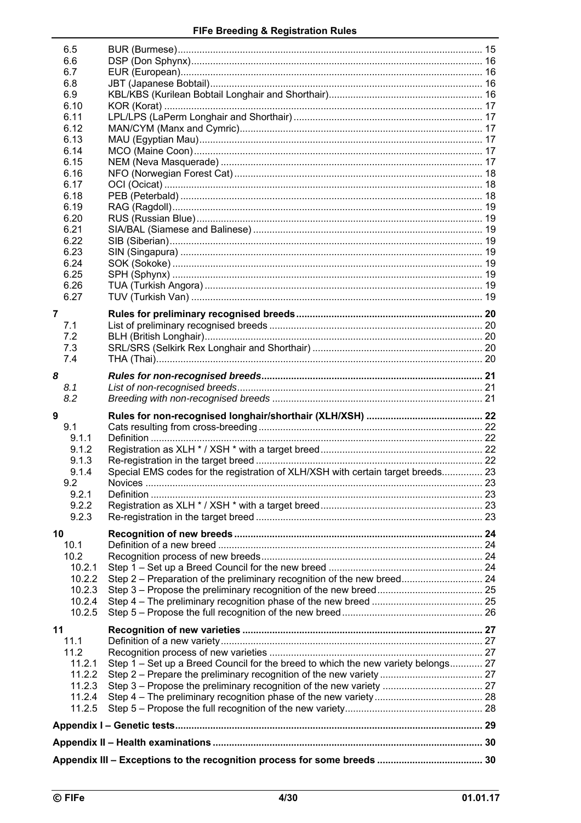|    | 6.5              |                                                                                   |  |
|----|------------------|-----------------------------------------------------------------------------------|--|
|    | 6.6              |                                                                                   |  |
|    | 6.7<br>6.8       |                                                                                   |  |
|    | 6.9              |                                                                                   |  |
|    | 6.10             |                                                                                   |  |
|    | 6.11             |                                                                                   |  |
|    | 6.12<br>6.13     |                                                                                   |  |
|    | 6.14             |                                                                                   |  |
|    | 6.15             |                                                                                   |  |
|    | 6.16             |                                                                                   |  |
|    | 6.17             |                                                                                   |  |
|    | 6.18<br>6.19     |                                                                                   |  |
|    | 6.20             |                                                                                   |  |
|    | 6.21             |                                                                                   |  |
|    | 6.22             |                                                                                   |  |
|    | 6.23<br>6.24     |                                                                                   |  |
|    | 6.25             |                                                                                   |  |
|    | 6.26             |                                                                                   |  |
|    | 6.27             |                                                                                   |  |
| 7  |                  |                                                                                   |  |
|    | 7.1              |                                                                                   |  |
|    | 7.2              |                                                                                   |  |
|    | 7.3              |                                                                                   |  |
|    | 7.4              |                                                                                   |  |
| 8  |                  |                                                                                   |  |
|    |                  |                                                                                   |  |
|    | 8.1              |                                                                                   |  |
|    | 8.2              |                                                                                   |  |
| 9  |                  |                                                                                   |  |
|    | 9.1<br>9.1.1     |                                                                                   |  |
|    | 9.1.2            |                                                                                   |  |
|    | 9.1.3            |                                                                                   |  |
|    | 9.1.4            | Special EMS codes for the registration of XLH/XSH with certain target breeds 23   |  |
|    | 9.2              |                                                                                   |  |
|    | 9.2.1<br>9.2.2   |                                                                                   |  |
|    | 9.2.3            |                                                                                   |  |
| 10 |                  |                                                                                   |  |
|    | 10.1             |                                                                                   |  |
|    | 10.2             |                                                                                   |  |
|    | 10.2.1           |                                                                                   |  |
|    | 10.2.2           | Step 2 - Preparation of the preliminary recognition of the new breed 24           |  |
|    | 10.2.3<br>10.2.4 |                                                                                   |  |
|    | 10.2.5           |                                                                                   |  |
| 11 |                  |                                                                                   |  |
|    | 11.1             |                                                                                   |  |
|    | 11.2             |                                                                                   |  |
|    | 11.2.1           | Step 1 – Set up a Breed Council for the breed to which the new variety belongs 27 |  |
|    | 11.2.2<br>11.2.3 |                                                                                   |  |
|    | 11.2.4           |                                                                                   |  |
|    | 11.2.5           |                                                                                   |  |
|    |                  |                                                                                   |  |
|    |                  |                                                                                   |  |
|    |                  |                                                                                   |  |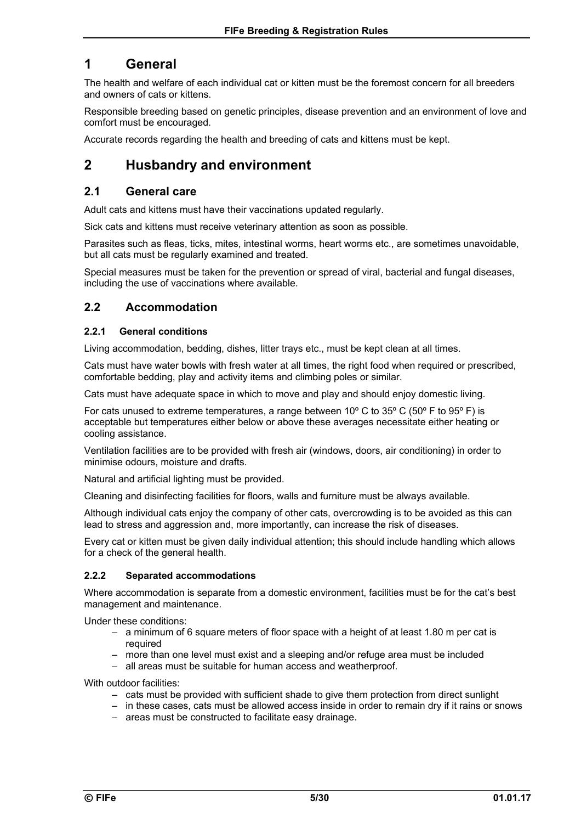# **1 General**

The health and welfare of each individual cat or kitten must be the foremost concern for all breeders and owners of cats or kittens.

Responsible breeding based on genetic principles, disease prevention and an environment of love and comfort must be encouraged.

Accurate records regarding the health and breeding of cats and kittens must be kept.

# **2 Husbandry and environment**

### **2.1 General care**

Adult cats and kittens must have their vaccinations updated regularly.

Sick cats and kittens must receive veterinary attention as soon as possible.

Parasites such as fleas, ticks, mites, intestinal worms, heart worms etc., are sometimes unavoidable, but all cats must be regularly examined and treated.

Special measures must be taken for the prevention or spread of viral, bacterial and fungal diseases, including the use of vaccinations where available.

### **2.2 Accommodation**

#### **2.2.1 General conditions**

Living accommodation, bedding, dishes, litter trays etc., must be kept clean at all times.

Cats must have water bowls with fresh water at all times, the right food when required or prescribed, comfortable bedding, play and activity items and climbing poles or similar.

Cats must have adequate space in which to move and play and should enjoy domestic living.

For cats unused to extreme temperatures, a range between 10º C to 35º C (50º F to 95º F) is acceptable but temperatures either below or above these averages necessitate either heating or cooling assistance.

Ventilation facilities are to be provided with fresh air (windows, doors, air conditioning) in order to minimise odours, moisture and drafts.

Natural and artificial lighting must be provided.

Cleaning and disinfecting facilities for floors, walls and furniture must be always available.

Although individual cats enjoy the company of other cats, overcrowding is to be avoided as this can lead to stress and aggression and, more importantly, can increase the risk of diseases.

Every cat or kitten must be given daily individual attention; this should include handling which allows for a check of the general health.

#### **2.2.2 Separated accommodations**

Where accommodation is separate from a domestic environment, facilities must be for the cat's best management and maintenance.

Under these conditions:

- a minimum of 6 square meters of floor space with a height of at least 1.80 m per cat is required
- more than one level must exist and a sleeping and/or refuge area must be included
- all areas must be suitable for human access and weatherproof.

With outdoor facilities:

– cats must be provided with sufficient shade to give them protection from direct sunlight

– in these cases, cats must be allowed access inside in order to remain dry if it rains or snows

– areas must be constructed to facilitate easy drainage.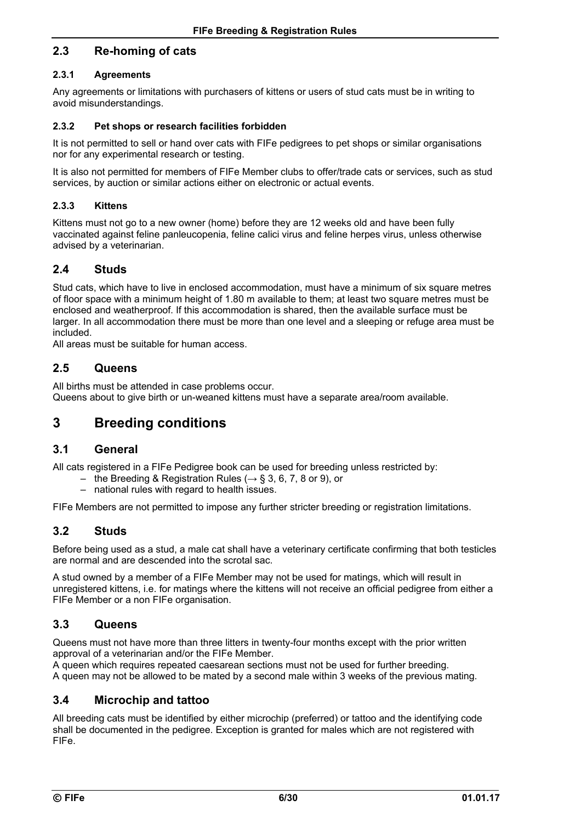### **2.3 Re-homing of cats**

#### **2.3.1 Agreements**

Any agreements or limitations with purchasers of kittens or users of stud cats must be in writing to avoid misunderstandings.

#### **2.3.2 Pet shops or research facilities forbidden**

It is not permitted to sell or hand over cats with FIFe pedigrees to pet shops or similar organisations nor for any experimental research or testing.

It is also not permitted for members of FIFe Member clubs to offer/trade cats or services, such as stud services, by auction or similar actions either on electronic or actual events.

#### **2.3.3 Kittens**

Kittens must not go to a new owner (home) before they are 12 weeks old and have been fully vaccinated against feline panleucopenia, feline calici virus and feline herpes virus, unless otherwise advised by a veterinarian.

### **2.4 Studs**

Stud cats, which have to live in enclosed accommodation, must have a minimum of six square metres of floor space with a minimum height of 1.80 m available to them; at least two square metres must be enclosed and weatherproof. If this accommodation is shared, then the available surface must be larger. In all accommodation there must be more than one level and a sleeping or refuge area must be included.

All areas must be suitable for human access.

### **2.5 Queens**

All births must be attended in case problems occur. Queens about to give birth or un-weaned kittens must have a separate area/room available.

# **3 Breeding conditions**

### **3.1 General**

All cats registered in a FIFe Pedigree book can be used for breeding unless restricted by:

- the Breeding & Registration Rules ( $\rightarrow$  § 3, 6, 7, 8 or 9), or
- national rules with regard to health issues.

FIFe Members are not permitted to impose any further stricter breeding or registration limitations.

### **3.2 Studs**

Before being used as a stud, a male cat shall have a veterinary certificate confirming that both testicles are normal and are descended into the scrotal sac.

A stud owned by a member of a FIFe Member may not be used for matings, which will result in unregistered kittens, i.e. for matings where the kittens will not receive an official pedigree from either a FIFe Member or a non FIFe organisation.

### **3.3 Queens**

Queens must not have more than three litters in twenty-four months except with the prior written approval of a veterinarian and/or the FIFe Member.

A queen which requires repeated caesarean sections must not be used for further breeding. A queen may not be allowed to be mated by a second male within 3 weeks of the previous mating.

### **3.4 Microchip and tattoo**

All breeding cats must be identified by either microchip (preferred) or tattoo and the identifying code shall be documented in the pedigree. Exception is granted for males which are not registered with FIFe.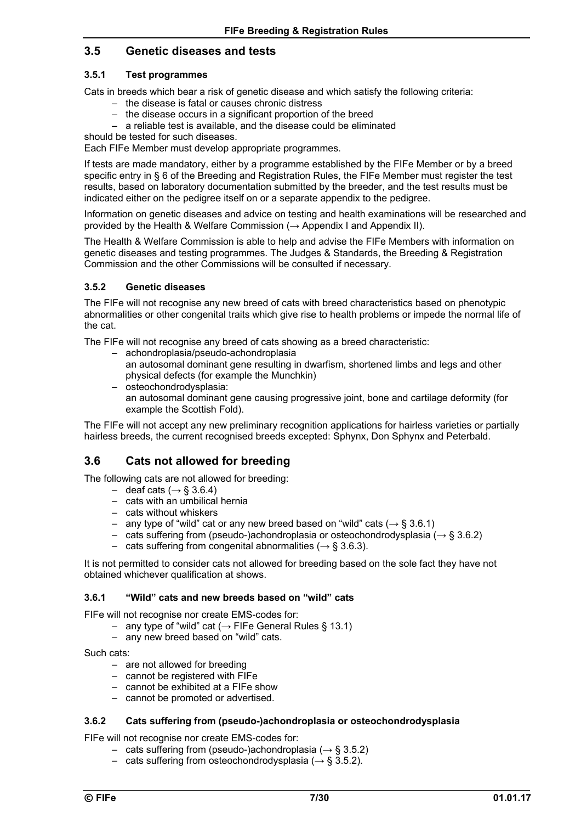### **3.5 Genetic diseases and tests**

#### **3.5.1 Test programmes**

Cats in breeds which bear a risk of genetic disease and which satisfy the following criteria:

- the disease is fatal or causes chronic distress
- the disease occurs in a significant proportion of the breed
- a reliable test is available, and the disease could be eliminated

should be tested for such diseases.

Each FIFe Member must develop appropriate programmes.

If tests are made mandatory, either by a programme established by the FIFe Member or by a breed specific entry in § 6 of the Breeding and Registration Rules, the FIFe Member must register the test results, based on laboratory documentation submitted by the breeder, and the test results must be indicated either on the pedigree itself on or a separate appendix to the pedigree.

Information on genetic diseases and advice on testing and health examinations will be researched and provided by the Health & Welfare Commission ( $\rightarrow$  Appendix I and Appendix II).

The Health & Welfare Commission is able to help and advise the FIFe Members with information on genetic diseases and testing programmes. The Judges & Standards, the Breeding & Registration Commission and the other Commissions will be consulted if necessary.

#### **3.5.2 Genetic diseases**

The FIFe will not recognise any new breed of cats with breed characteristics based on phenotypic abnormalities or other congenital traits which give rise to health problems or impede the normal life of the cat.

The FIFe will not recognise any breed of cats showing as a breed characteristic:

- achondroplasia/pseudo-achondroplasia
	- an autosomal dominant gene resulting in dwarfism, shortened limbs and legs and other physical defects (for example the Munchkin)
- osteochondrodysplasia: an autosomal dominant gene causing progressive joint, bone and cartilage deformity (for example the Scottish Fold).

The FIFe will not accept any new preliminary recognition applications for hairless varieties or partially hairless breeds, the current recognised breeds excepted: Sphynx, Don Sphynx and Peterbald.

### **3.6 Cats not allowed for breeding**

The following cats are not allowed for breeding:

- deaf cats ( $\rightarrow$  § 3.6.4)
- cats with an umbilical hernia
- cats without whiskers
- any type of "wild" cat or any new breed based on "wild" cats ( $\rightarrow$  § 3.6.1)
- cats suffering from (pseudo-)achondroplasia or osteochondrodysplasia ( $\rightarrow$  § 3.6.2)
- cats suffering from congenital abnormalities ( $\rightarrow$  § 3.6.3).

It is not permitted to consider cats not allowed for breeding based on the sole fact they have not obtained whichever qualification at shows.

#### **3.6.1 "Wild" cats and new breeds based on "wild" cats**

FIFe will not recognise nor create EMS-codes for:

- any type of "wild" cat ( $→$  FIFe General Rules § 13.1)
- any new breed based on "wild" cats.

Such cats:

- are not allowed for breeding
- cannot be registered with FIFe
- cannot be exhibited at a FIFe show
- cannot be promoted or advertised.

#### **3.6.2 Cats suffering from (pseudo-)achondroplasia or osteochondrodysplasia**

FIFe will not recognise nor create EMS-codes for:

- cats suffering from (pseudo-)achondroplasia ( $\rightarrow$  § 3.5.2)
- cats suffering from osteochondrodysplasia ( $\rightarrow$  § 3.5.2).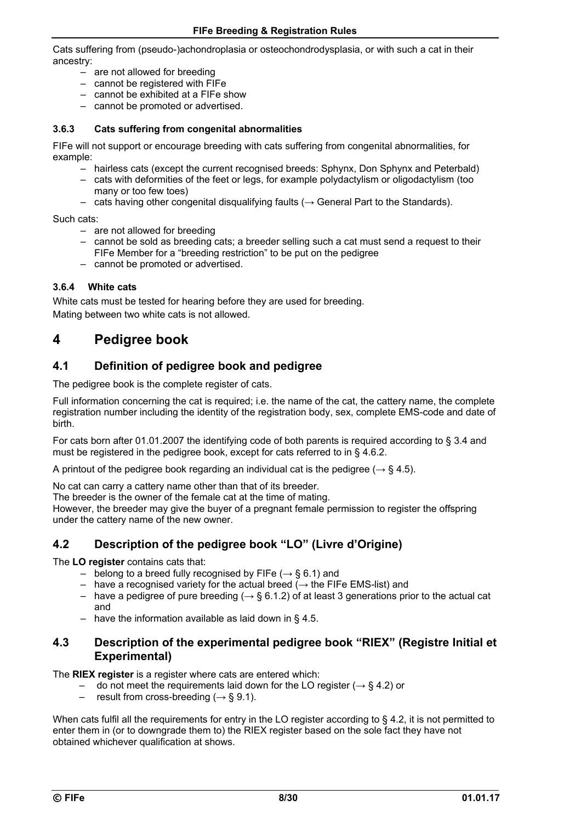Cats suffering from (pseudo-)achondroplasia or osteochondrodysplasia, or with such a cat in their ancestry:

- are not allowed for breeding
- cannot be registered with FIFe
- cannot be exhibited at a FIFe show
- cannot be promoted or advertised.

#### **3.6.3 Cats suffering from congenital abnormalities**

FIFe will not support or encourage breeding with cats suffering from congenital abnormalities, for example:

- hairless cats (except the current recognised breeds: Sphynx, Don Sphynx and Peterbald)
- cats with deformities of the feet or legs, for example polydactylism or oligodactylism (too many or too few toes)
- $−$  cats having other congenital disqualifying faults ( $→$  General Part to the Standards).

Such cats:

- are not allowed for breeding
- cannot be sold as breeding cats; a breeder selling such a cat must send a request to their FIFe Member for a "breeding restriction" to be put on the pedigree
- cannot be promoted or advertised.

#### **3.6.4 White cats**

White cats must be tested for hearing before they are used for breeding. Mating between two white cats is not allowed.

### **4 Pedigree book**

### **4.1 Definition of pedigree book and pedigree**

The pedigree book is the complete register of cats.

Full information concerning the cat is required; i.e. the name of the cat, the cattery name, the complete registration number including the identity of the registration body, sex, complete EMS-code and date of birth.

For cats born after 01.01.2007 the identifying code of both parents is required according to § 3.4 and must be registered in the pedigree book, except for cats referred to in § 4.6.2.

A printout of the pedigree book regarding an individual cat is the pedigree ( $\rightarrow$  § 4.5).

No cat can carry a cattery name other than that of its breeder.

The breeder is the owner of the female cat at the time of mating.

However, the breeder may give the buyer of a pregnant female permission to register the offspring under the cattery name of the new owner.

### **4.2 Description of the pedigree book "LO" (Livre d'Origine)**

The **LO register** contains cats that:

- belong to a breed fully recognised by FIFe  $(\rightarrow$  § 6.1) and
- have a recognised variety for the actual breed  $($   $\rightarrow$  the FIFe EMS-list) and
- have a pedigree of pure breeding  $(\rightarrow \S 6.1.2)$  of at least 3 generations prior to the actual cat and
- have the information available as laid down in  $\S$  4.5.

### **4.3 Description of the experimental pedigree book "RIEX" (Registre Initial et Experimental)**

The **RIEX register** is a register where cats are entered which:

- do not meet the requirements laid down for the LO register ( $\rightarrow$  § 4.2) or
- result from cross-breeding ( $\rightarrow$  § 9.1).

When cats fulfil all the requirements for entry in the LO register according to § 4.2, it is not permitted to enter them in (or to downgrade them to) the RIEX register based on the sole fact they have not obtained whichever qualification at shows.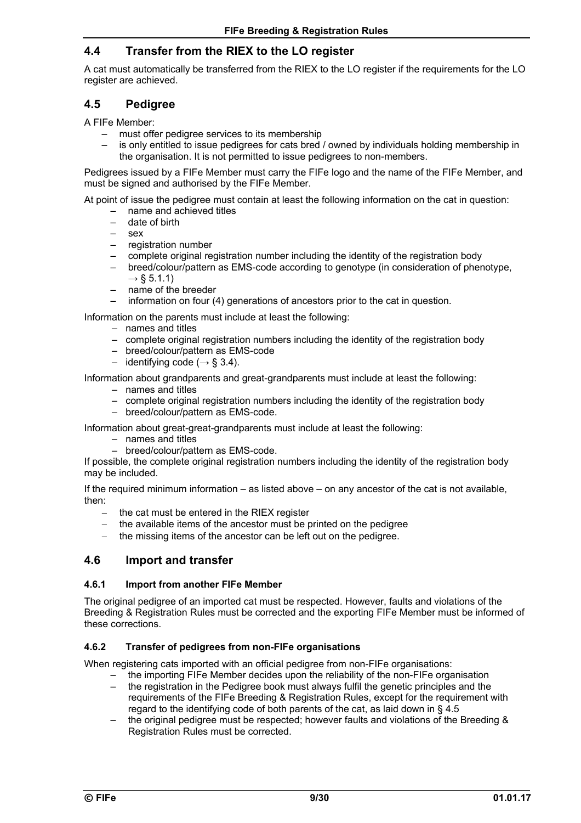### **4.4 Transfer from the RIEX to the LO register**

A cat must automatically be transferred from the RIEX to the LO register if the requirements for the LO register are achieved.

### **4.5 Pedigree**

A FIFe Member:

- must offer pedigree services to its membership
- is only entitled to issue pedigrees for cats bred / owned by individuals holding membership in the organisation. It is not permitted to issue pedigrees to non-members.

Pedigrees issued by a FIFe Member must carry the FIFe logo and the name of the FIFe Member, and must be signed and authorised by the FIFe Member.

At point of issue the pedigree must contain at least the following information on the cat in question:

- name and achieved titles
- date of birth
- $-$  sex
- registration number
- complete original registration number including the identity of the registration body
- breed/colour/pattern as EMS-code according to genotype (in consideration of phenotype,
- $\rightarrow$  § 5.1.1)
- name of the breeder
- information on four (4) generations of ancestors prior to the cat in question.

Information on the parents must include at least the following:

- names and titles
- complete original registration numbers including the identity of the registration body
- breed/colour/pattern as EMS-code
- identifying code ( $\rightarrow$  § 3.4).

Information about grandparents and great-grandparents must include at least the following:

- names and titles
- complete original registration numbers including the identity of the registration body
- breed/colour/pattern as EMS-code.

Information about great-great-grandparents must include at least the following:

- names and titles
- breed/colour/pattern as EMS-code.

If possible, the complete original registration numbers including the identity of the registration body may be included.

If the required minimum information – as listed above – on any ancestor of the cat is not available, then:

- the cat must be entered in the RIEX register
- $-$  the available items of the ancestor must be printed on the pedigree
- the missing items of the ancestor can be left out on the pedigree.

### **4.6 Import and transfer**

#### **4.6.1 Import from another FIFe Member**

The original pedigree of an imported cat must be respected. However, faults and violations of the Breeding & Registration Rules must be corrected and the exporting FIFe Member must be informed of these corrections.

#### **4.6.2 Transfer of pedigrees from non-FIFe organisations**

When registering cats imported with an official pedigree from non-FIFe organisations:

- the importing FIFe Member decides upon the reliability of the non-FIFe organisation – the registration in the Pedigree book must always fulfil the genetic principles and the requirements of the FIFe Breeding & Registration Rules, except for the requirement with
- regard to the identifying code of both parents of the cat, as laid down in § 4.5
- the original pedigree must be respected; however faults and violations of the Breeding & Registration Rules must be corrected.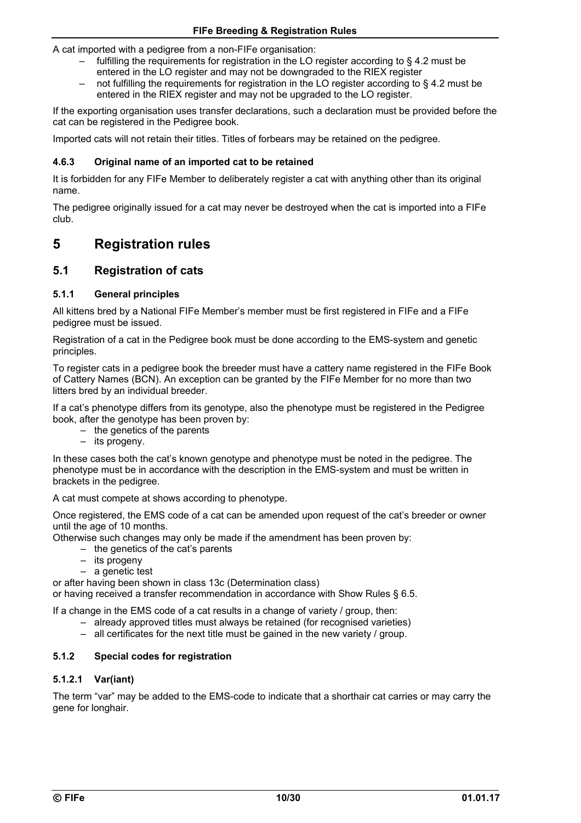A cat imported with a pedigree from a non-FIFe organisation:

- fulfilling the requirements for registration in the LO register according to § 4.2 must be entered in the LO register and may not be downgraded to the RIEX register
- not fulfilling the requirements for registration in the LO register according to § 4.2 must be entered in the RIEX register and may not be upgraded to the LO register.

If the exporting organisation uses transfer declarations, such a declaration must be provided before the cat can be registered in the Pedigree book.

Imported cats will not retain their titles. Titles of forbears may be retained on the pedigree.

#### **4.6.3 Original name of an imported cat to be retained**

It is forbidden for any FIFe Member to deliberately register a cat with anything other than its original name.

The pedigree originally issued for a cat may never be destroyed when the cat is imported into a FIFe club.

# **5 Registration rules**

### **5.1 Registration of cats**

#### **5.1.1 General principles**

All kittens bred by a National FIFe Member's member must be first registered in FIFe and a FIFe pedigree must be issued.

Registration of a cat in the Pedigree book must be done according to the EMS-system and genetic principles.

To register cats in a pedigree book the breeder must have a cattery name registered in the FIFe Book of Cattery Names (BCN). An exception can be granted by the FIFe Member for no more than two litters bred by an individual breeder.

If a cat's phenotype differs from its genotype, also the phenotype must be registered in the Pedigree book, after the genotype has been proven by:

- the genetics of the parents
- its progeny.

In these cases both the cat's known genotype and phenotype must be noted in the pedigree. The phenotype must be in accordance with the description in the EMS-system and must be written in brackets in the pedigree.

A cat must compete at shows according to phenotype.

Once registered, the EMS code of a cat can be amended upon request of the cat's breeder or owner until the age of 10 months.

Otherwise such changes may only be made if the amendment has been proven by:

- the genetics of the cat's parents
- its progeny
- a genetic test

or after having been shown in class 13c (Determination class)

or having received a transfer recommendation in accordance with Show Rules § 6.5.

If a change in the EMS code of a cat results in a change of variety / group, then:

- already approved titles must always be retained (for recognised varieties)
- all certificates for the next title must be gained in the new variety / group.

#### **5.1.2 Special codes for registration**

#### **5.1.2.1 Var(iant)**

The term "var" may be added to the EMS-code to indicate that a shorthair cat carries or may carry the gene for longhair.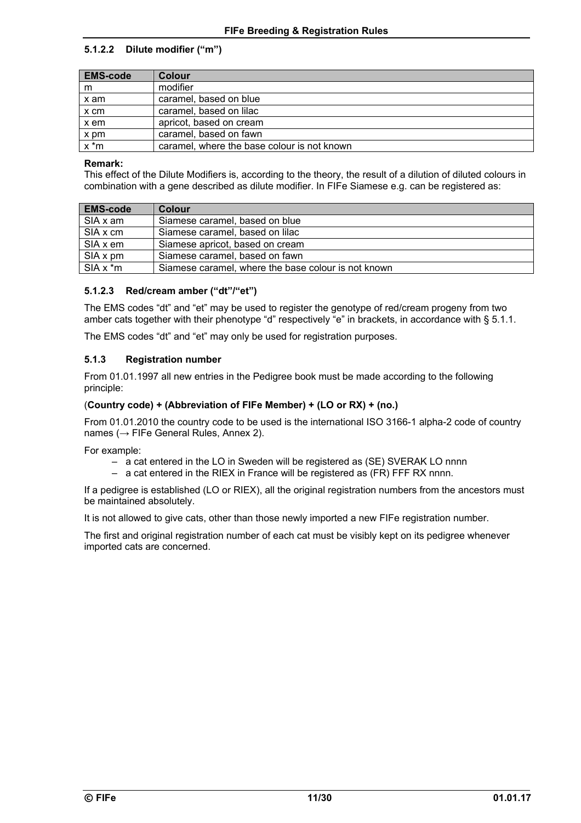### **5.1.2.2 Dilute modifier ("m")**

| <b>EMS-code</b> | Colour                                      |
|-----------------|---------------------------------------------|
| m               | modifier                                    |
| x am            | caramel, based on blue                      |
| x cm            | caramel, based on lilac                     |
| x em            | apricot, based on cream                     |
| x pm            | caramel, based on fawn                      |
| $x * m$         | caramel, where the base colour is not known |

#### **Remark:**

This effect of the Dilute Modifiers is, according to the theory, the result of a dilution of diluted colours in combination with a gene described as dilute modifier. In FIFe Siamese e.g. can be registered as:

| <b>EMS-code</b> | <b>Colour</b>                                       |
|-----------------|-----------------------------------------------------|
| SIA x am        | Siamese caramel, based on blue                      |
| SIA x cm        | Siamese caramel, based on lilac                     |
| SIA x em        | Siamese apricot, based on cream                     |
| SIA x pm        | Siamese caramel, based on fawn                      |
| $SIA x * m$     | Siamese caramel, where the base colour is not known |

#### **5.1.2.3 Red/cream amber ("dt"/"et")**

The EMS codes "dt" and "et" may be used to register the genotype of red/cream progeny from two amber cats together with their phenotype "d" respectively "e" in brackets, in accordance with § 5.1.1.

The EMS codes "dt" and "et" may only be used for registration purposes.

#### **5.1.3 Registration number**

From 01.01.1997 all new entries in the Pedigree book must be made according to the following principle:

#### (**Country code) + (Abbreviation of FIFe Member) + (LO or RX) + (no.)**

From 01.01.2010 the country code to be used is the international ISO 3166-1 alpha-2 code of country names (→ FIFe General Rules, Annex 2).

For example:

- a cat entered in the LO in Sweden will be registered as (SE) SVERAK LO nnnn
- a cat entered in the RIEX in France will be registered as (FR) FFF RX nnnn.

If a pedigree is established (LO or RIEX), all the original registration numbers from the ancestors must be maintained absolutely.

It is not allowed to give cats, other than those newly imported a new FIFe registration number.

The first and original registration number of each cat must be visibly kept on its pedigree whenever imported cats are concerned.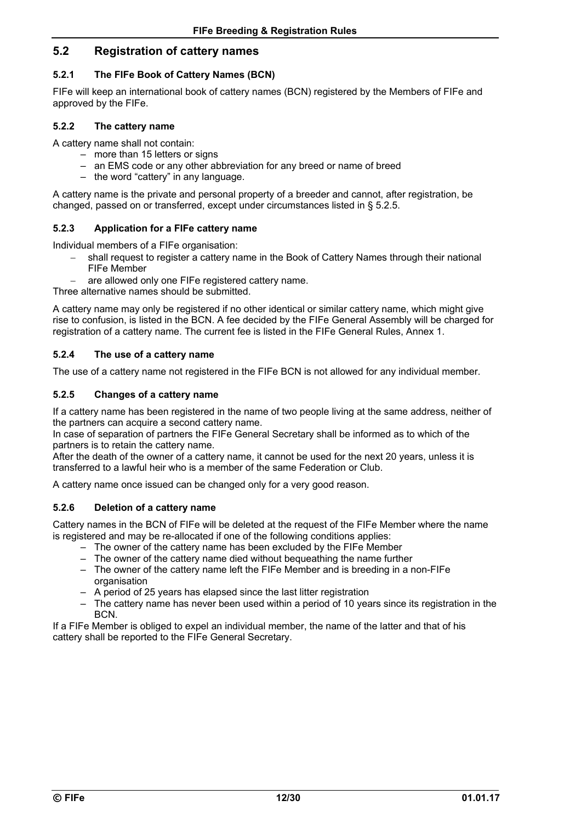### **5.2 Registration of cattery names**

#### **5.2.1 The FIFe Book of Cattery Names (BCN)**

FIFe will keep an international book of cattery names (BCN) registered by the Members of FIFe and approved by the FIFe.

#### **5.2.2 The cattery name**

A cattery name shall not contain:

- more than 15 letters or signs
- an EMS code or any other abbreviation for any breed or name of breed
- the word "cattery" in any language.

A cattery name is the private and personal property of a breeder and cannot, after registration, be changed, passed on or transferred, except under circumstances listed in § 5.2.5.

#### **5.2.3 Application for a FIFe cattery name**

Individual members of a FIFe organisation:

- shall request to register a cattery name in the Book of Cattery Names through their national FIFe Member
- are allowed only one FIFe registered cattery name.

Three alternative names should be submitted.

A cattery name may only be registered if no other identical or similar cattery name, which might give rise to confusion, is listed in the BCN. A fee decided by the FIFe General Assembly will be charged for registration of a cattery name. The current fee is listed in the FIFe General Rules, Annex 1.

#### **5.2.4 The use of a cattery name**

The use of a cattery name not registered in the FIFe BCN is not allowed for any individual member.

#### **5.2.5 Changes of a cattery name**

If a cattery name has been registered in the name of two people living at the same address, neither of the partners can acquire a second cattery name.

In case of separation of partners the FIFe General Secretary shall be informed as to which of the partners is to retain the cattery name.

After the death of the owner of a cattery name, it cannot be used for the next 20 years, unless it is transferred to a lawful heir who is a member of the same Federation or Club.

A cattery name once issued can be changed only for a very good reason.

#### **5.2.6 Deletion of a cattery name**

Cattery names in the BCN of FIFe will be deleted at the request of the FIFe Member where the name is registered and may be re-allocated if one of the following conditions applies:

- The owner of the cattery name has been excluded by the FIFe Member
- The owner of the cattery name died without bequeathing the name further
- The owner of the cattery name left the FIFe Member and is breeding in a non-FIFe organisation
- A period of 25 years has elapsed since the last litter registration
- The cattery name has never been used within a period of 10 years since its registration in the BCN.

If a FIFe Member is obliged to expel an individual member, the name of the latter and that of his cattery shall be reported to the FIFe General Secretary.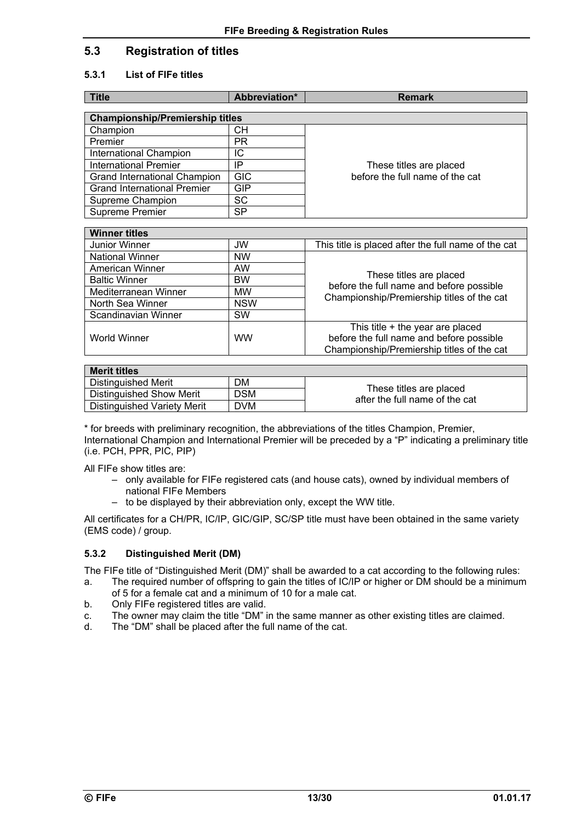### **5.3 Registration of titles**

#### **5.3.1 List of FIFe titles**

| Abbreviation*                          | <b>Remark</b>                   |  |
|----------------------------------------|---------------------------------|--|
| <b>Championship/Premiership titles</b> |                                 |  |
|                                        |                                 |  |
|                                        |                                 |  |
| PR                                     |                                 |  |
| ΙC                                     |                                 |  |
| IP                                     | These titles are placed         |  |
| <b>GIC</b>                             | before the full name of the cat |  |
| GIP                                    |                                 |  |
| SC                                     |                                 |  |
| SP                                     |                                 |  |
|                                        |                                 |  |
| <b>Winner titles</b>                   |                                 |  |
|                                        | CН                              |  |

| .                      |            |                                                                                        |
|------------------------|------------|----------------------------------------------------------------------------------------|
| Junior Winner          | <b>JW</b>  | This title is placed after the full name of the cat                                    |
| <b>National Winner</b> | <b>NW</b>  |                                                                                        |
| American Winner        | <b>AW</b>  |                                                                                        |
| <b>Baltic Winner</b>   | <b>BW</b>  | These titles are placed                                                                |
| Mediterranean Winner   | <b>MW</b>  | before the full name and before possible<br>Championship/Premiership titles of the cat |
| North Sea Winner       | <b>NSW</b> |                                                                                        |
| Scandinavian Winner    | <b>SW</b>  |                                                                                        |
|                        |            | This title + the year are placed                                                       |
| World Winner           | <b>WW</b>  | before the full name and before possible                                               |
|                        |            | Championship/Premiership titles of the cat                                             |
|                        |            |                                                                                        |

| <b>Merit titles</b>                |            |                                                           |
|------------------------------------|------------|-----------------------------------------------------------|
| Distinguished Merit                | DM         |                                                           |
| Distinguished Show Merit           | <b>DSM</b> | These titles are placed<br>after the full name of the cat |
| <b>Distinguished Variety Merit</b> | <b>DVM</b> |                                                           |

\* for breeds with preliminary recognition, the abbreviations of the titles Champion, Premier, International Champion and International Premier will be preceded by a "P" indicating a preliminary title (i.e. PCH, PPR, PIC, PIP)

All FIFe show titles are:

- only available for FIFe registered cats (and house cats), owned by individual members of national FIFe Members
- to be displayed by their abbreviation only, except the WW title.

All certificates for a CH/PR, IC/IP, GIC/GIP, SC/SP title must have been obtained in the same variety (EMS code) / group.

### **5.3.2 Distinguished Merit (DM)**

The FIFe title of "Distinguished Merit (DM)" shall be awarded to a cat according to the following rules:

- a. The required number of offspring to gain the titles of IC/IP or higher or DM should be a minimum of 5 for a female cat and a minimum of 10 for a male cat.
- b. Only FIFe registered titles are valid.
- c. The owner may claim the title "DM" in the same manner as other existing titles are claimed.<br>d. The "DM" shall be placed after the full name of the cat.
- The "DM" shall be placed after the full name of the cat.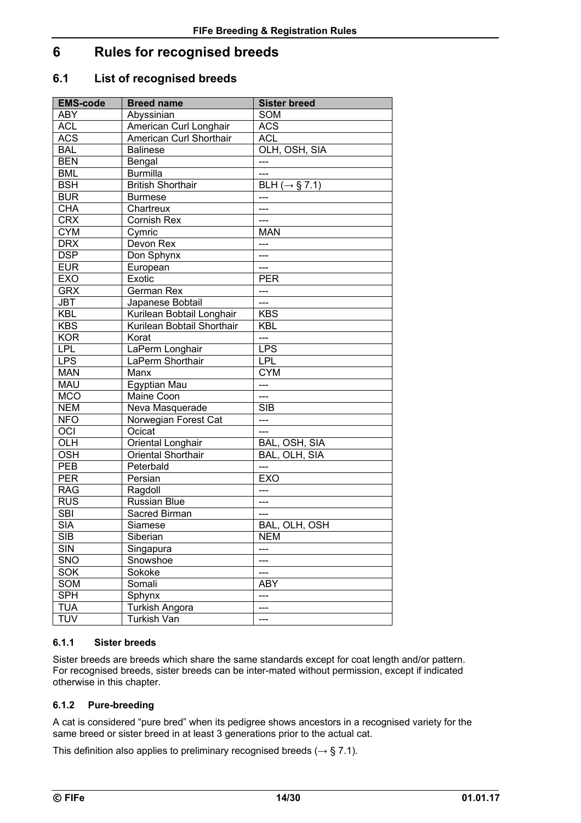# **6 Rules for recognised breeds**

### **6.1 List of recognised breeds**

| <b>EMS-code</b> | <b>Breed name</b>          | <b>Sister breed</b>        |
|-----------------|----------------------------|----------------------------|
| <b>ABY</b>      | Abyssinian                 | <b>SOM</b>                 |
| <b>ACL</b>      | American Curl Longhair     | <b>ACS</b>                 |
| <b>ACS</b>      | American Curl Shorthair    | <b>ACL</b>                 |
| <b>BAL</b>      | <b>Balinese</b>            | OLH, OSH, SIA              |
| <b>BEN</b>      | Bengal                     | ---                        |
| <b>BML</b>      | <b>Burmilla</b>            | ---                        |
| <b>BSH</b>      | <b>British Shorthair</b>   | BLH ( $\rightarrow$ § 7.1) |
| <b>BUR</b>      | <b>Burmese</b>             | ---                        |
| <b>CHA</b>      | Chartreux                  | ---                        |
| <b>CRX</b>      | <b>Cornish Rex</b>         | ---                        |
| <b>CYM</b>      | Cymric                     | <b>MAN</b>                 |
| <b>DRX</b>      | Devon Rex                  | ---                        |
| <b>DSP</b>      | Don Sphynx                 | ---                        |
| <b>EUR</b>      | European                   | ---                        |
| <b>EXO</b>      | Exotic                     | <b>PER</b>                 |
| <b>GRX</b>      | <b>German Rex</b>          | ---                        |
| <b>JBT</b>      | Japanese Bobtail           | ---                        |
| <b>KBL</b>      | Kurilean Bobtail Longhair  | <b>KBS</b>                 |
| <b>KBS</b>      | Kurilean Bobtail Shorthair | <b>KBL</b>                 |
| <b>KOR</b>      | Korat                      | $\overline{a}$             |
| <b>LPL</b>      | LaPerm Longhair            | <b>LPS</b>                 |
| <b>LPS</b>      | LaPerm Shorthair           | <b>LPL</b>                 |
| <b>MAN</b>      | Manx                       | <b>CYM</b>                 |
| <b>MAU</b>      | Egyptian Mau               | ---                        |
| <b>MCO</b>      | Maine Coon                 | ---                        |
| <b>NEM</b>      | Neva Masquerade            | <b>SIB</b>                 |
| <b>NFO</b>      | Norwegian Forest Cat       | ---                        |
| OCI             | Ocicat                     | ---                        |
| OLH             | Oriental Longhair          | BAL, OSH, SIA              |
| <b>OSH</b>      | <b>Oriental Shorthair</b>  | BAL, OLH, SIA              |
| PEB             | Peterbald                  | ---                        |
| <b>PER</b>      | Persian                    | <b>EXO</b>                 |
| <b>RAG</b>      | Ragdoll                    | ---                        |
| <b>RUS</b>      | <b>Russian Blue</b>        | ---                        |
| <b>SBI</b>      | Sacred Birman              | ---                        |
| <b>SIA</b>      | Siamese                    | BAL, OLH, OSH              |
| SIB             | Siberian                   | NEM                        |
| <b>SIN</b>      | Singapura                  | ---                        |
| SNO             | Snowshoe                   | ---                        |
| <b>SOK</b>      | Sokoke                     | ---                        |
| SOM             | Somali                     | <b>ABY</b>                 |
| <b>SPH</b>      | Sphynx                     | ---                        |
| <b>TUA</b>      | <b>Turkish Angora</b>      | ---                        |
| <b>TUV</b>      | <b>Turkish Van</b>         | ---                        |

### **6.1.1 Sister breeds**

Sister breeds are breeds which share the same standards except for coat length and/or pattern. For recognised breeds, sister breeds can be inter-mated without permission, except if indicated otherwise in this chapter.

### **6.1.2 Pure-breeding**

A cat is considered "pure bred" when its pedigree shows ancestors in a recognised variety for the same breed or sister breed in at least 3 generations prior to the actual cat.

This definition also applies to preliminary recognised breeds ( $\rightarrow$  § 7.1).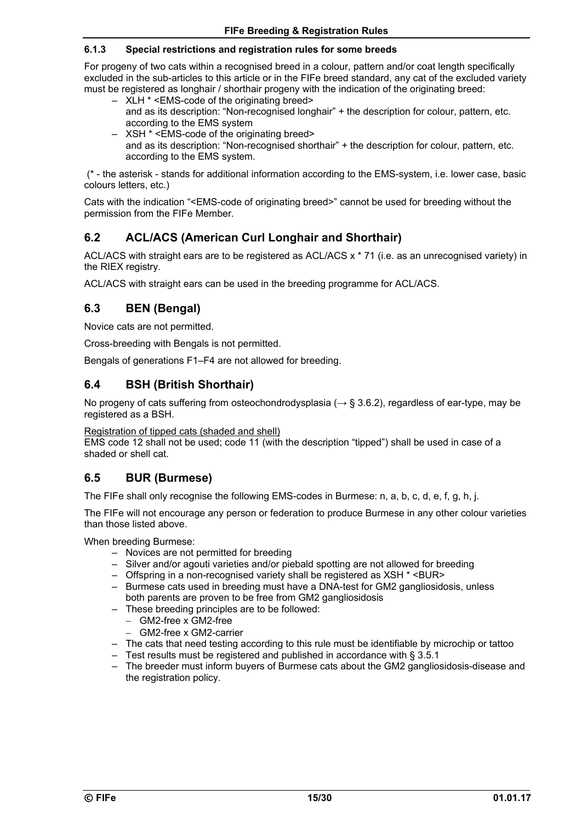#### **6.1.3 Special restrictions and registration rules for some breeds**

For progeny of two cats within a recognised breed in a colour, pattern and/or coat length specifically excluded in the sub-articles to this article or in the FIFe breed standard, any cat of the excluded variety must be registered as longhair / shorthair progeny with the indication of the originating breed:

- XLH \* <EMS-code of the originating breed> and as its description: "Non-recognised longhair" + the description for colour, pattern, etc. according to the EMS system
- XSH \* <EMS-code of the originating breed>
- and as its description: "Non-recognised shorthair" + the description for colour, pattern, etc. according to the EMS system.

 (\* - the asterisk - stands for additional information according to the EMS-system, i.e. lower case, basic colours letters, etc.)

Cats with the indication "<EMS-code of originating breed>" cannot be used for breeding without the permission from the FIFe Member.

### **6.2 ACL/ACS (American Curl Longhair and Shorthair)**

ACL/ACS with straight ears are to be registered as ACL/ACS x \* 71 (i.e. as an unrecognised variety) in the RIEX registry.

ACL/ACS with straight ears can be used in the breeding programme for ACL/ACS.

### **6.3 BEN (Bengal)**

Novice cats are not permitted.

Cross-breeding with Bengals is not permitted.

Bengals of generations F1–F4 are not allowed for breeding.

### **6.4 BSH (British Shorthair)**

No progeny of cats suffering from osteochondrodysplasia ( $\rightarrow$  § 3.6.2), regardless of ear-type, may be registered as a BSH.

Registration of tipped cats (shaded and shell)

EMS code 12 shall not be used; code 11 (with the description "tipped") shall be used in case of a shaded or shell cat.

### **6.5 BUR (Burmese)**

The FIFe shall only recognise the following EMS-codes in Burmese: n, a, b, c, d, e, f, g, h, j.

The FIFe will not encourage any person or federation to produce Burmese in any other colour varieties than those listed above.

When breeding Burmese:

- Novices are not permitted for breeding
- Silver and/or agouti varieties and/or piebald spotting are not allowed for breeding
- Offspring in a non-recognised variety shall be registered as XSH \* <BUR>
- Burmese cats used in breeding must have a DNA-test for GM2 gangliosidosis, unless both parents are proven to be free from GM2 gangliosidosis
- These breeding principles are to be followed:
	- GM2-free x GM2-free
	- GM2-free x GM2-carrier
- The cats that need testing according to this rule must be identifiable by microchip or tattoo
- Test results must be registered and published in accordance with § 3.5.1
- The breeder must inform buyers of Burmese cats about the GM2 gangliosidosis-disease and the registration policy.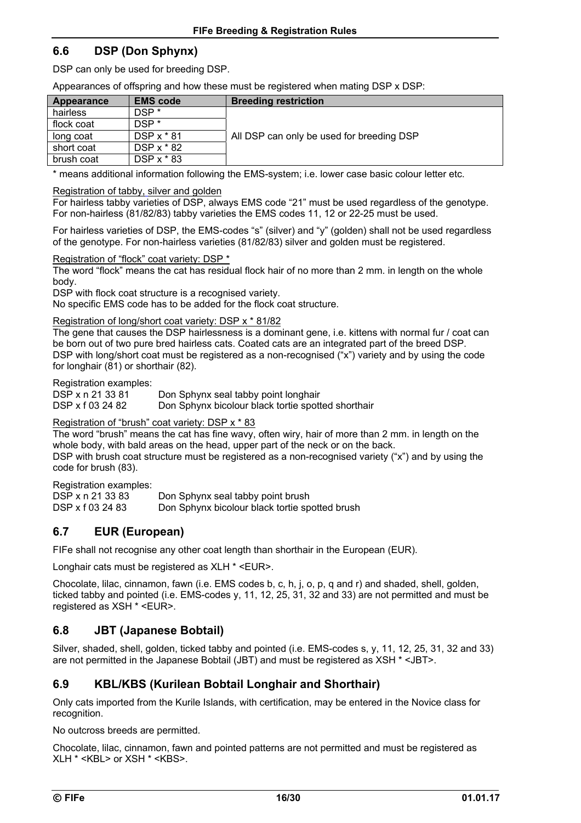### **6.6 DSP (Don Sphynx)**

DSP can only be used for breeding DSP.

Appearances of offspring and how these must be registered when mating DSP x DSP:

| Appearance | <b>EMS</b> code  | <b>Breeding restriction</b>               |
|------------|------------------|-------------------------------------------|
| hairless   | DSP <sup>*</sup> |                                           |
| flock coat | DSP <sup>*</sup> |                                           |
| long coat  | $DSP x * 81$     | All DSP can only be used for breeding DSP |
| short coat | DSP x * 82       |                                           |
| brush coat | DSP $x * 83$     |                                           |

\* means additional information following the EMS-system; i.e. lower case basic colour letter etc.

Registration of tabby, silver and golden

For hairless tabby varieties of DSP, always EMS code "21" must be used regardless of the genotype. For non-hairless (81/82/83) tabby varieties the EMS codes 11, 12 or 22-25 must be used.

For hairless varieties of DSP, the EMS-codes "s" (silver) and "y" (golden) shall not be used regardless of the genotype. For non-hairless varieties (81/82/83) silver and golden must be registered.

Registration of "flock" coat variety: DSP \*

The word "flock" means the cat has residual flock hair of no more than 2 mm. in length on the whole body.

DSP with flock coat structure is a recognised variety.

No specific EMS code has to be added for the flock coat structure.

Registration of long/short coat variety: DSP x \* 81/82

The gene that causes the DSP hairlessness is a dominant gene, i.e. kittens with normal fur / coat can be born out of two pure bred hairless cats. Coated cats are an integrated part of the breed DSP. DSP with long/short coat must be registered as a non-recognised ("x") variety and by using the code for longhair (81) or shorthair (82).

Registration examples:

DSP x n 21 33 81 Don Sphynx seal tabby point longhair<br>DSP x f 03 24 82 Don Sphynx bicolour black tortie spot Don Sphynx bicolour black tortie spotted shorthair

### Registration of "brush" coat variety: DSP x \* 83

The word "brush" means the cat has fine wavy, often wiry, hair of more than 2 mm. in length on the whole body, with bald areas on the head, upper part of the neck or on the back.

DSP with brush coat structure must be registered as a non-recognised variety ("x") and by using the code for brush (83).

Registration examples:

| DSP x n 21 33 83 | Don Sphynx seal tabby point brush              |
|------------------|------------------------------------------------|
| DSP x f 03 24 83 | Don Sphynx bicolour black tortie spotted brush |

### **6.7 EUR (European)**

FIFe shall not recognise any other coat length than shorthair in the European (EUR).

Longhair cats must be registered as XLH \* <EUR>.

Chocolate, lilac, cinnamon, fawn (i.e. EMS codes b, c, h, j, o, p, q and r) and shaded, shell, golden, ticked tabby and pointed (i.e. EMS-codes y, 11, 12, 25, 31, 32 and 33) are not permitted and must be registered as XSH \* <EUR>.

### **6.8 JBT (Japanese Bobtail)**

Silver, shaded, shell, golden, ticked tabby and pointed (i.e. EMS-codes s, y, 11, 12, 25, 31, 32 and 33) are not permitted in the Japanese Bobtail (JBT) and must be registered as XSH \* <JBT>.

### **6.9 KBL/KBS (Kurilean Bobtail Longhair and Shorthair)**

Only cats imported from the Kurile Islands, with certification, may be entered in the Novice class for recognition.

No outcross breeds are permitted.

Chocolate, lilac, cinnamon, fawn and pointed patterns are not permitted and must be registered as XLH \* <KBL> or XSH \* <KBS>.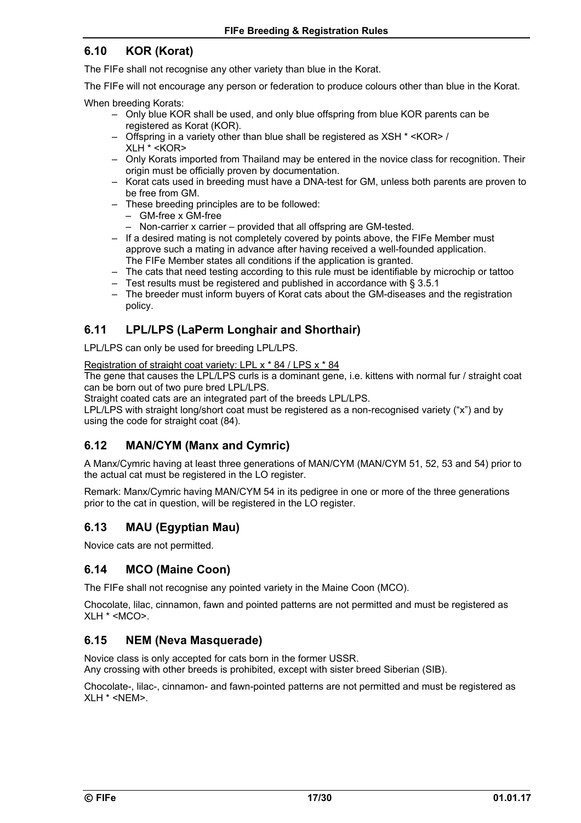### **6.10 KOR (Korat)**

The FIFe shall not recognise any other variety than blue in the Korat.

The FIFe will not encourage any person or federation to produce colours other than blue in the Korat.

When breeding Korats:

- Only blue KOR shall be used, and only blue offspring from blue KOR parents can be registered as Korat (KOR).
- Offspring in a variety other than blue shall be registered as XSH \* <KOR> / XLH \* <KOR>
- Only Korats imported from Thailand may be entered in the novice class for recognition. Their origin must be officially proven by documentation.
- Korat cats used in breeding must have a DNA-test for GM, unless both parents are proven to be free from GM.
- These breeding principles are to be followed:
	- GM-free x GM-free
	- Non-carrier x carrier provided that all offspring are GM-tested.
- If a desired mating is not completely covered by points above, the FIFe Member must approve such a mating in advance after having received a well-founded application. The FIFe Member states all conditions if the application is granted.
- The cats that need testing according to this rule must be identifiable by microchip or tattoo
- Test results must be registered and published in accordance with § 3.5.1
- The breeder must inform buyers of Korat cats about the GM-diseases and the registration policy.

### **6.11 LPL/LPS (LaPerm Longhair and Shorthair)**

LPL/LPS can only be used for breeding LPL/LPS.

Registration of straight coat variety: LPL x \* 84 / LPS x \* 84

The gene that causes the LPL/LPS curls is a dominant gene, i.e. kittens with normal fur / straight coat can be born out of two pure bred LPL/LPS.

Straight coated cats are an integrated part of the breeds LPL/LPS.

LPL/LPS with straight long/short coat must be registered as a non-recognised variety ("x") and by using the code for straight coat (84).

### **6.12 MAN/CYM (Manx and Cymric)**

A Manx/Cymric having at least three generations of MAN/CYM (MAN/CYM 51, 52, 53 and 54) prior to the actual cat must be registered in the LO register.

Remark: Manx/Cymric having MAN/CYM 54 in its pedigree in one or more of the three generations prior to the cat in question, will be registered in the LO register.

### **6.13 MAU (Egyptian Mau)**

Novice cats are not permitted.

### **6.14 MCO (Maine Coon)**

The FIFe shall not recognise any pointed variety in the Maine Coon (MCO).

Chocolate, lilac, cinnamon, fawn and pointed patterns are not permitted and must be registered as  $XLH * < MCO$ 

### **6.15 NEM (Neva Masquerade)**

Novice class is only accepted for cats born in the former USSR. Any crossing with other breeds is prohibited, except with sister breed Siberian (SIB).

Chocolate-, lilac-, cinnamon- and fawn-pointed patterns are not permitted and must be registered as XLH \* <NEM>.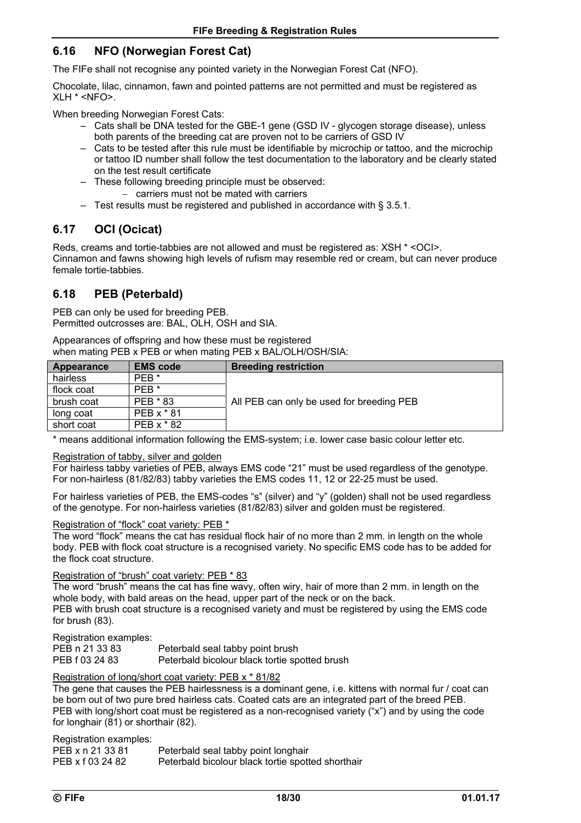### **6.16 NFO (Norwegian Forest Cat)**

The FIFe shall not recognise any pointed variety in the Norwegian Forest Cat (NFO).

Chocolate, lilac, cinnamon, fawn and pointed patterns are not permitted and must be registered as XLH \* <NFO>.

When breeding Norwegian Forest Cats:

- Cats shall be DNA tested for the GBE-1 gene (GSD IV glycogen storage disease), unless both parents of the breeding cat are proven not to be carriers of GSD IV
- Cats to be tested after this rule must be identifiable by microchip or tattoo, and the microchip or tattoo ID number shall follow the test documentation to the laboratory and be clearly stated on the test result certificate
- These following breeding principle must be observed:
	- carriers must not be mated with carriers
- Test results must be registered and published in accordance with § 3.5.1.

### **6.17 OCI (Ocicat)**

Reds, creams and tortie-tabbies are not allowed and must be registered as: XSH \* <OCI>. Cinnamon and fawns showing high levels of rufism may resemble red or cream, but can never produce female tortie-tabbies.

### **6.18 PEB (Peterbald)**

PEB can only be used for breeding PEB. Permitted outcrosses are: BAL, OLH, OSH and SIA.

Appearances of offspring and how these must be registered when mating PEB x PEB or when mating PEB x BAL/OLH/OSH/SIA:

| Appearance | <b>EMS code</b>  | <b>Breeding restriction</b>               |
|------------|------------------|-------------------------------------------|
| hairless   | PEB <sup>*</sup> |                                           |
| flock coat | PEB <sup>*</sup> |                                           |
| brush coat | PEB * 83         | All PEB can only be used for breeding PEB |
| long coat  | PEB x * 81       |                                           |
| short coat | PEB x * 82       |                                           |

\* means additional information following the EMS-system; i.e. lower case basic colour letter etc.

#### Registration of tabby, silver and golden

For hairless tabby varieties of PEB, always EMS code "21" must be used regardless of the genotype. For non-hairless (81/82/83) tabby varieties the EMS codes 11, 12 or 22-25 must be used.

For hairless varieties of PEB, the EMS-codes "s" (silver) and "y" (golden) shall not be used regardless of the genotype. For non-hairless varieties (81/82/83) silver and golden must be registered.

#### Registration of "flock" coat variety: PEB \*

The word "flock" means the cat has residual flock hair of no more than 2 mm. in length on the whole body. PEB with flock coat structure is a recognised variety. No specific EMS code has to be added for the flock coat structure.

#### Registration of "brush" coat variety: PEB \* 83

The word "brush" means the cat has fine wavy, often wiry, hair of more than 2 mm. in length on the whole body, with bald areas on the head, upper part of the neck or on the back.

PEB with brush coat structure is a recognised variety and must be registered by using the EMS code for brush (83).

Registration examples:

| PEB n 21 33 83 | Peterbald seal tabby point brush              |
|----------------|-----------------------------------------------|
| PEB f 03 24 83 | Peterbald bicolour black tortie spotted brush |

#### Registration of long/short coat variety: PEB x \* 81/82

The gene that causes the PEB hairlessness is a dominant gene, i.e. kittens with normal fur / coat can be born out of two pure bred hairless cats. Coated cats are an integrated part of the breed PEB. PEB with long/short coat must be registered as a non-recognised variety ("x") and by using the code for longhair (81) or shorthair (82).

Registration examples:

| PEB x n 21 33 81 | Peterbald seal tabby point longhair               |
|------------------|---------------------------------------------------|
| PEB x f 03 24 82 | Peterbald bicolour black tortie spotted shorthair |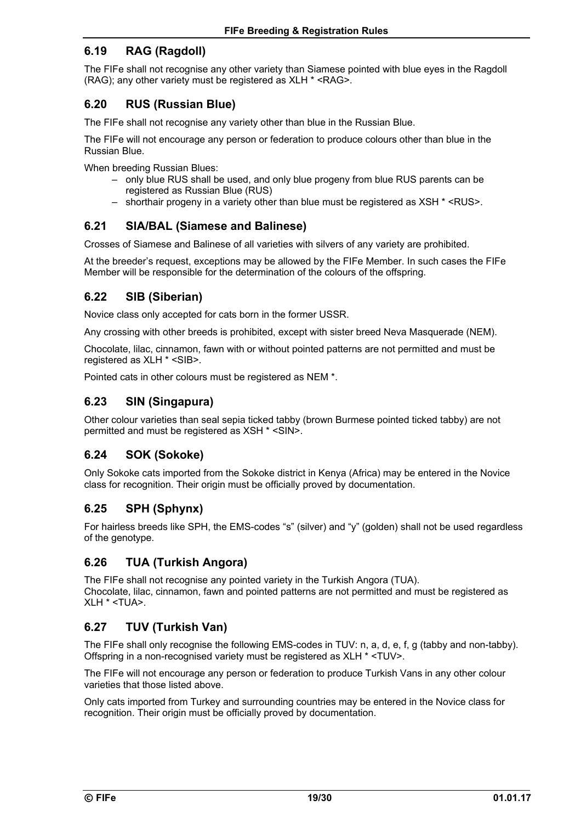### **6.19 RAG (Ragdoll)**

The FIFe shall not recognise any other variety than Siamese pointed with blue eyes in the Ragdoll (RAG); any other variety must be registered as XLH \* <RAG>.

### **6.20 RUS (Russian Blue)**

The FIFe shall not recognise any variety other than blue in the Russian Blue.

The FIFe will not encourage any person or federation to produce colours other than blue in the Russian Blue.

When breeding Russian Blues:

- only blue RUS shall be used, and only blue progeny from blue RUS parents can be registered as Russian Blue (RUS)
- shorthair progeny in a variety other than blue must be registered as XSH \* <RUS>.

### **6.21 SIA/BAL (Siamese and Balinese)**

Crosses of Siamese and Balinese of all varieties with silvers of any variety are prohibited.

At the breeder's request, exceptions may be allowed by the FIFe Member. In such cases the FIFe Member will be responsible for the determination of the colours of the offspring.

### **6.22 SIB (Siberian)**

Novice class only accepted for cats born in the former USSR.

Any crossing with other breeds is prohibited, except with sister breed Neva Masquerade (NEM).

Chocolate, lilac, cinnamon, fawn with or without pointed patterns are not permitted and must be registered as XLH \* <SIB>.

Pointed cats in other colours must be registered as NEM \*.

### **6.23 SIN (Singapura)**

Other colour varieties than seal sepia ticked tabby (brown Burmese pointed ticked tabby) are not permitted and must be registered as XSH \* <SIN>.

### **6.24 SOK (Sokoke)**

Only Sokoke cats imported from the Sokoke district in Kenya (Africa) may be entered in the Novice class for recognition. Their origin must be officially proved by documentation.

### **6.25 SPH (Sphynx)**

For hairless breeds like SPH, the EMS-codes "s" (silver) and "y" (golden) shall not be used regardless of the genotype.

### **6.26 TUA (Turkish Angora)**

The FIFe shall not recognise any pointed variety in the Turkish Angora (TUA). Chocolate, lilac, cinnamon, fawn and pointed patterns are not permitted and must be registered as XLH \* <TUA>.

### **6.27 TUV (Turkish Van)**

The FIFe shall only recognise the following EMS-codes in TUV: n, a, d, e, f, g (tabby and non-tabby). Offspring in a non-recognised variety must be registered as XLH \* <TUV>.

The FIFe will not encourage any person or federation to produce Turkish Vans in any other colour varieties that those listed above.

Only cats imported from Turkey and surrounding countries may be entered in the Novice class for recognition. Their origin must be officially proved by documentation.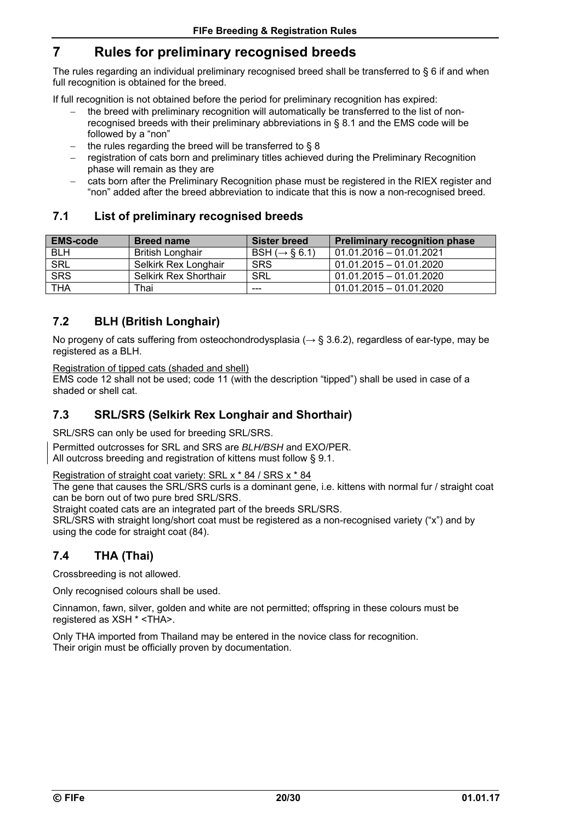# **7 Rules for preliminary recognised breeds**

The rules regarding an individual preliminary recognised breed shall be transferred to § 6 if and when full recognition is obtained for the breed.

If full recognition is not obtained before the period for preliminary recognition has expired:

- the breed with preliminary recognition will automatically be transferred to the list of nonrecognised breeds with their preliminary abbreviations in § 8.1 and the EMS code will be followed by a "non"
- the rules regarding the breed will be transferred to § 8
- registration of cats born and preliminary titles achieved during the Preliminary Recognition phase will remain as they are
- cats born after the Preliminary Recognition phase must be registered in the RIEX register and "non" added after the breed abbreviation to indicate that this is now a non-recognised breed.

### **7.1 List of preliminary recognised breeds**

| <b>EMS-code</b> | <b>Breed name</b>            | Sister breed               | <b>Preliminary recognition phase</b> |
|-----------------|------------------------------|----------------------------|--------------------------------------|
| <b>BLH</b>      | <b>British Longhair</b>      | BSH ( $\rightarrow$ § 6.1) | 01.01.2016 - 01.01.2021              |
| <b>SRL</b>      | Selkirk Rex Longhair         | <b>SRS</b>                 | $01.01.2015 - 01.01.2020$            |
| <b>SRS</b>      | <b>Selkirk Rex Shorthair</b> | SRL                        | 01.01.2015 - 01.01.2020              |
| <b>THA</b>      | Thai                         | $- - -$                    | $01.01.2015 - 01.01.2020$            |

### **7.2 BLH (British Longhair)**

No progeny of cats suffering from osteochondrodysplasia ( $\rightarrow$  § 3.6.2), regardless of ear-type, may be registered as a BLH.

Registration of tipped cats (shaded and shell)

EMS code 12 shall not be used; code 11 (with the description "tipped") shall be used in case of a shaded or shell cat.

### **7.3 SRL/SRS (Selkirk Rex Longhair and Shorthair)**

SRL/SRS can only be used for breeding SRL/SRS.

Permitted outcrosses for SRL and SRS are *BLH/BSH* and EXO/PER. All outcross breeding and registration of kittens must follow § 9.1.

Registration of straight coat variety: SRL x \* 84 / SRS x \* 84

The gene that causes the SRL/SRS curls is a dominant gene, i.e. kittens with normal fur / straight coat can be born out of two pure bred SRL/SRS.

Straight coated cats are an integrated part of the breeds SRL/SRS.

SRL/SRS with straight long/short coat must be registered as a non-recognised variety ("x") and by using the code for straight coat (84).

### **7.4 THA (Thai)**

Crossbreeding is not allowed.

Only recognised colours shall be used.

Cinnamon, fawn, silver, golden and white are not permitted; offspring in these colours must be registered as XSH \* <THA>.

Only THA imported from Thailand may be entered in the novice class for recognition. Their origin must be officially proven by documentation.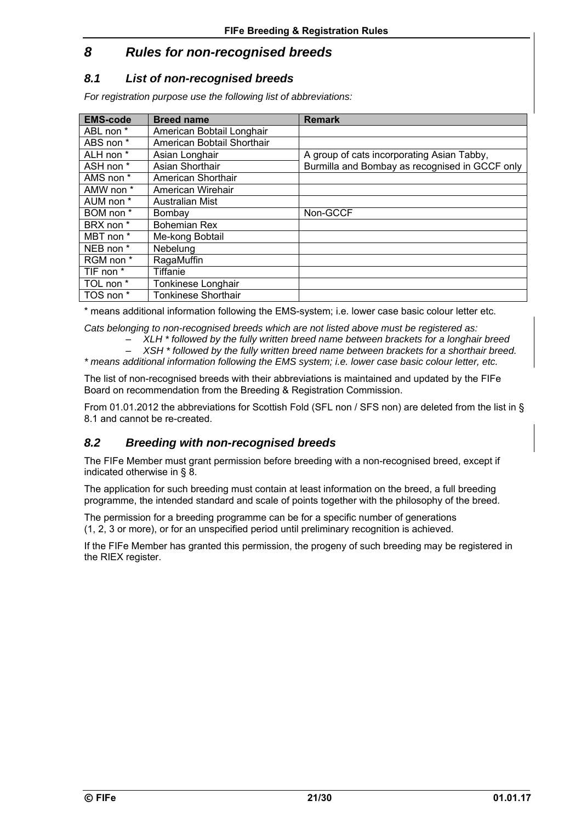# *8 Rules for non-recognised breeds*

### *8.1 List of non-recognised breeds*

*For registration purpose use the following list of abbreviations:* 

| <b>EMS-code</b>      | <b>Breed name</b>          | <b>Remark</b>                                  |
|----------------------|----------------------------|------------------------------------------------|
| ABL non *            | American Bobtail Longhair  |                                                |
| ABS non *            | American Bobtail Shorthair |                                                |
| ALH non *            | Asian Longhair             | A group of cats incorporating Asian Tabby,     |
| ASH non *            | Asian Shorthair            | Burmilla and Bombay as recognised in GCCF only |
| AMS non *            | American Shorthair         |                                                |
| AMW non *            | American Wirehair          |                                                |
| AUM non *            | Australian Mist            |                                                |
| BOM non *            | Bombay                     | Non-GCCF                                       |
| BRX non <sup>*</sup> | <b>Bohemian Rex</b>        |                                                |
| MBT non *            | Me-kong Bobtail            |                                                |
| NEB non *            | Nebelung                   |                                                |
| RGM non *            | RagaMuffin                 |                                                |
| TIF non *            | <b>Tiffanie</b>            |                                                |
| TOL non *            | Tonkinese Longhair         |                                                |
| TOS non *            | <b>Tonkinese Shorthair</b> |                                                |

\* means additional information following the EMS-system; i.e. lower case basic colour letter etc.

*Cats belonging to non-recognised breeds which are not listed above must be registered as:* 

- *XLH \* followed by the fully written breed name between brackets for a longhair breed*
- *XSH \* followed by the fully written breed name between brackets for a shorthair breed.*

*\* means additional information following the EMS system; i.e. lower case basic colour letter, etc.* 

The list of non-recognised breeds with their abbreviations is maintained and updated by the FIFe Board on recommendation from the Breeding & Registration Commission.

From 01.01.2012 the abbreviations for Scottish Fold (SFL non / SFS non) are deleted from the list in § 8.1 and cannot be re-created.

### *8.2 Breeding with non-recognised breeds*

The FIFe Member must grant permission before breeding with a non-recognised breed, except if indicated otherwise in § 8.

The application for such breeding must contain at least information on the breed, a full breeding programme, the intended standard and scale of points together with the philosophy of the breed.

The permission for a breeding programme can be for a specific number of generations (1, 2, 3 or more), or for an unspecified period until preliminary recognition is achieved.

If the FIFe Member has granted this permission, the progeny of such breeding may be registered in the RIEX register.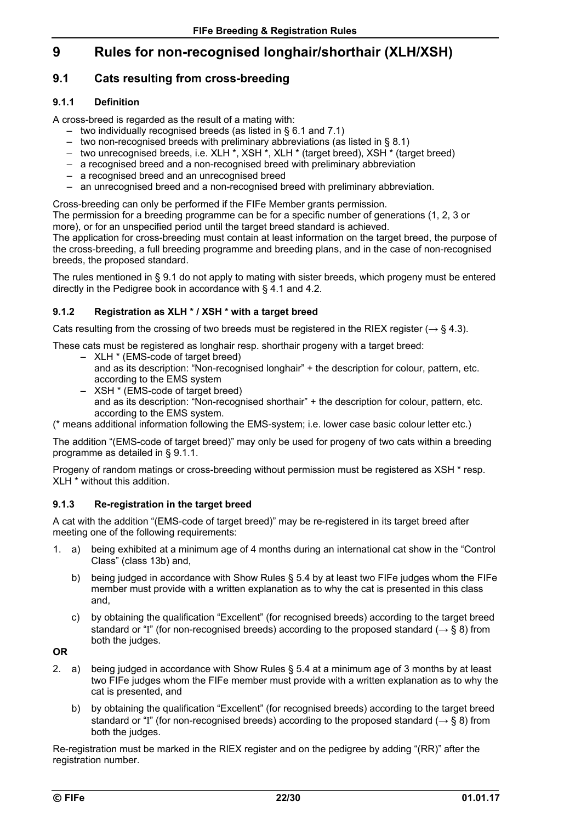# **9 Rules for non-recognised longhair/shorthair (XLH/XSH)**

### **9.1 Cats resulting from cross-breeding**

### **9.1.1 Definition**

A cross-breed is regarded as the result of a mating with:

- two individually recognised breeds (as listed in § 6.1 and 7.1)
- two non-recognised breeds with preliminary abbreviations (as listed in § 8.1)
- two unrecognised breeds, i.e. XLH \*, XSH \*, XLH \* (target breed), XSH \* (target breed)
- a recognised breed and a non-recognised breed with preliminary abbreviation
- a recognised breed and an unrecognised breed
- an unrecognised breed and a non-recognised breed with preliminary abbreviation.

Cross-breeding can only be performed if the FIFe Member grants permission.

The permission for a breeding programme can be for a specific number of generations (1, 2, 3 or more), or for an unspecified period until the target breed standard is achieved.

The application for cross-breeding must contain at least information on the target breed, the purpose of the cross-breeding, a full breeding programme and breeding plans, and in the case of non-recognised breeds, the proposed standard.

The rules mentioned in § 9.1 do not apply to mating with sister breeds, which progeny must be entered directly in the Pedigree book in accordance with § 4.1 and 4.2.

### **9.1.2 Registration as XLH \* / XSH \* with a target breed**

Cats resulting from the crossing of two breeds must be registered in the RIEX register ( $\rightarrow$  § 4.3).

These cats must be registered as longhair resp. shorthair progeny with a target breed:

- XLH \* (EMS-code of target breed)
	- and as its description: "Non-recognised longhair" + the description for colour, pattern, etc. according to the EMS system
- XSH \* (EMS-code of target breed) and as its description: "Non-recognised shorthair" + the description for colour, pattern, etc. according to the EMS system.

(\* means additional information following the EMS-system; i.e. lower case basic colour letter etc.)

The addition "(EMS-code of target breed)" may only be used for progeny of two cats within a breeding programme as detailed in § 9.1.1.

Progeny of random matings or cross-breeding without permission must be registered as XSH \* resp. XLH \* without this addition.

### **9.1.3 Re-registration in the target breed**

A cat with the addition "(EMS-code of target breed)" may be re-registered in its target breed after meeting one of the following requirements:

- 1. a) being exhibited at a minimum age of 4 months during an international cat show in the "Control Class" (class 13b) and,
	- b) being judged in accordance with Show Rules § 5.4 by at least two FIFe judges whom the FIFe member must provide with a written explanation as to why the cat is presented in this class and,
	- c) by obtaining the qualification "Excellent" (for recognised breeds) according to the target breed standard or "I" (for non-recognised breeds) according to the proposed standard ( $\rightarrow$  § 8) from both the judges.

**OR** 

- 2. a) being judged in accordance with Show Rules § 5.4 at a minimum age of 3 months by at least two FIFe judges whom the FIFe member must provide with a written explanation as to why the cat is presented, and
	- b) by obtaining the qualification "Excellent" (for recognised breeds) according to the target breed standard or "I" (for non-recognised breeds) according to the proposed standard ( $\rightarrow$  § 8) from both the judges.

Re-registration must be marked in the RIEX register and on the pedigree by adding "(RR)" after the registration number.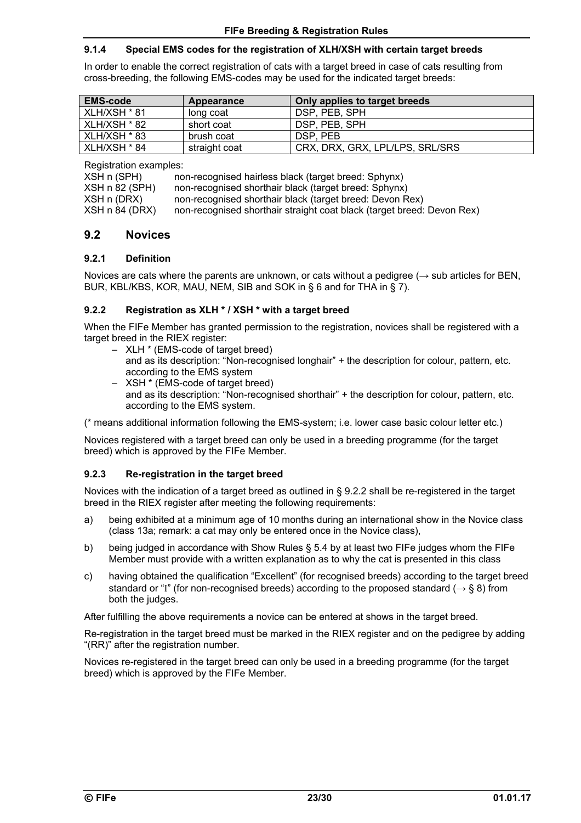#### **9.1.4 Special EMS codes for the registration of XLH/XSH with certain target breeds**

In order to enable the correct registration of cats with a target breed in case of cats resulting from cross-breeding, the following EMS-codes may be used for the indicated target breeds:

| <b>EMS-code</b> | Appearance    | Only applies to target breeds   |
|-----------------|---------------|---------------------------------|
| XLH/XSH * 81    | long coat     | DSP, PEB, SPH                   |
| $XLH/XSH * 82$  | short coat    | DSP, PEB, SPH                   |
| XLH/XSH * 83    | brush coat    | DSP. PEB                        |
| XLH/XSH * 84    | straight coat | CRX, DRX, GRX, LPL/LPS, SRL/SRS |

Registration examples:

| XSH n (SPH)    | non-recognised hairless black (target breed: Sphynx)                   |
|----------------|------------------------------------------------------------------------|
| XSH n 82 (SPH) | non-recognised shorthair black (target breed: Sphynx)                  |
| XSH n (DRX)    | non-recognised shorthair black (target breed: Devon Rex)               |
| XSH n 84 (DRX) | non-recognised shorthair straight coat black (target breed: Devon Rex) |
|                |                                                                        |

### **9.2 Novices**

#### **9.2.1 Definition**

Novices are cats where the parents are unknown, or cats without a pedigree  $(\rightarrow$  sub articles for BEN, BUR, KBL/KBS, KOR, MAU, NEM, SIB and SOK in § 6 and for THA in § 7).

#### **9.2.2 Registration as XLH \* / XSH \* with a target breed**

When the FIFe Member has granted permission to the registration, novices shall be registered with a target breed in the RIEX register:

- XLH \* (EMS-code of target breed) and as its description: "Non-recognised longhair" + the description for colour, pattern, etc. according to the EMS system
- XSH \* (EMS-code of target breed) and as its description: "Non-recognised shorthair" + the description for colour, pattern, etc. according to the EMS system.

(\* means additional information following the EMS-system; i.e. lower case basic colour letter etc.)

Novices registered with a target breed can only be used in a breeding programme (for the target breed) which is approved by the FIFe Member.

### **9.2.3 Re-registration in the target breed**

Novices with the indication of a target breed as outlined in § 9.2.2 shall be re-registered in the target breed in the RIEX register after meeting the following requirements:

- a) being exhibited at a minimum age of 10 months during an international show in the Novice class (class 13a; remark: a cat may only be entered once in the Novice class),
- b) being judged in accordance with Show Rules § 5.4 by at least two FIFe judges whom the FIFe Member must provide with a written explanation as to why the cat is presented in this class
- c) having obtained the qualification "Excellent" (for recognised breeds) according to the target breed standard or "I" (for non-recognised breeds) according to the proposed standard ( $\rightarrow$  § 8) from both the judges.

After fulfilling the above requirements a novice can be entered at shows in the target breed.

Re-registration in the target breed must be marked in the RIEX register and on the pedigree by adding "(RR)" after the registration number.

Novices re-registered in the target breed can only be used in a breeding programme (for the target breed) which is approved by the FIFe Member.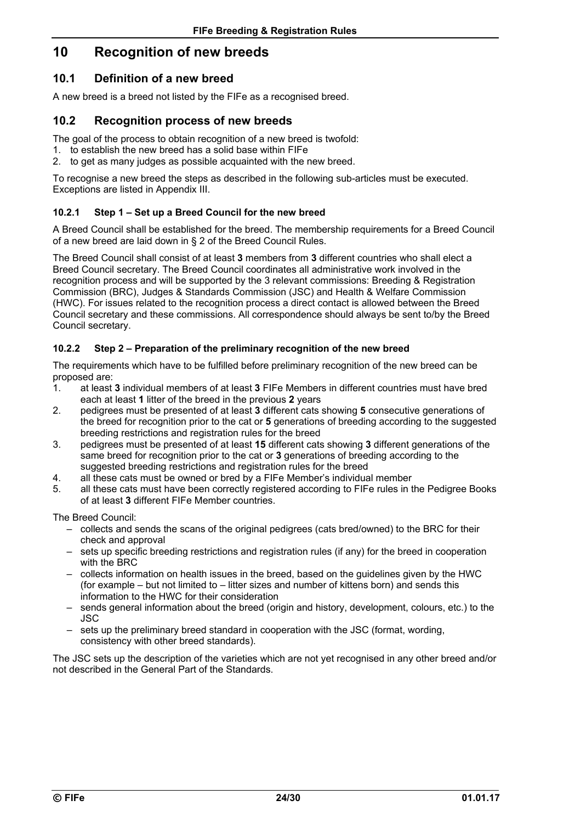# **10 Recognition of new breeds**

### **10.1 Definition of a new breed**

A new breed is a breed not listed by the FIFe as a recognised breed.

### **10.2 Recognition process of new breeds**

The goal of the process to obtain recognition of a new breed is twofold:

- 1. to establish the new breed has a solid base within FIFe
- 2. to get as many judges as possible acquainted with the new breed.

To recognise a new breed the steps as described in the following sub-articles must be executed. Exceptions are listed in Appendix III.

### **10.2.1 Step 1 – Set up a Breed Council for the new breed**

A Breed Council shall be established for the breed. The membership requirements for a Breed Council of a new breed are laid down in § 2 of the Breed Council Rules.

The Breed Council shall consist of at least **3** members from **3** different countries who shall elect a Breed Council secretary. The Breed Council coordinates all administrative work involved in the recognition process and will be supported by the 3 relevant commissions: Breeding & Registration Commission (BRC), Judges & Standards Commission (JSC) and Health & Welfare Commission (HWC). For issues related to the recognition process a direct contact is allowed between the Breed Council secretary and these commissions. All correspondence should always be sent to/by the Breed Council secretary.

### **10.2.2 Step 2 – Preparation of the preliminary recognition of the new breed**

The requirements which have to be fulfilled before preliminary recognition of the new breed can be proposed are:

- 1. at least **3** individual members of at least **3** FIFe Members in different countries must have bred each at least **1** litter of the breed in the previous **2** years
- 2. pedigrees must be presented of at least **3** different cats showing **5** consecutive generations of the breed for recognition prior to the cat or **5** generations of breeding according to the suggested breeding restrictions and registration rules for the breed
- 3. pedigrees must be presented of at least **15** different cats showing **3** different generations of the same breed for recognition prior to the cat or **3** generations of breeding according to the suggested breeding restrictions and registration rules for the breed
- 4. all these cats must be owned or bred by a FIFe Member's individual member
- 5. all these cats must have been correctly registered according to FIFe rules in the Pedigree Books of at least **3** different FIFe Member countries.

The Breed Council:

- collects and sends the scans of the original pedigrees (cats bred/owned) to the BRC for their check and approval
- sets up specific breeding restrictions and registration rules (if any) for the breed in cooperation with the BRC
- collects information on health issues in the breed, based on the guidelines given by the HWC (for example – but not limited to – litter sizes and number of kittens born) and sends this information to the HWC for their consideration
- sends general information about the breed (origin and history, development, colours, etc.) to the JSC
- sets up the preliminary breed standard in cooperation with the JSC (format, wording, consistency with other breed standards).

The JSC sets up the description of the varieties which are not yet recognised in any other breed and/or not described in the General Part of the Standards.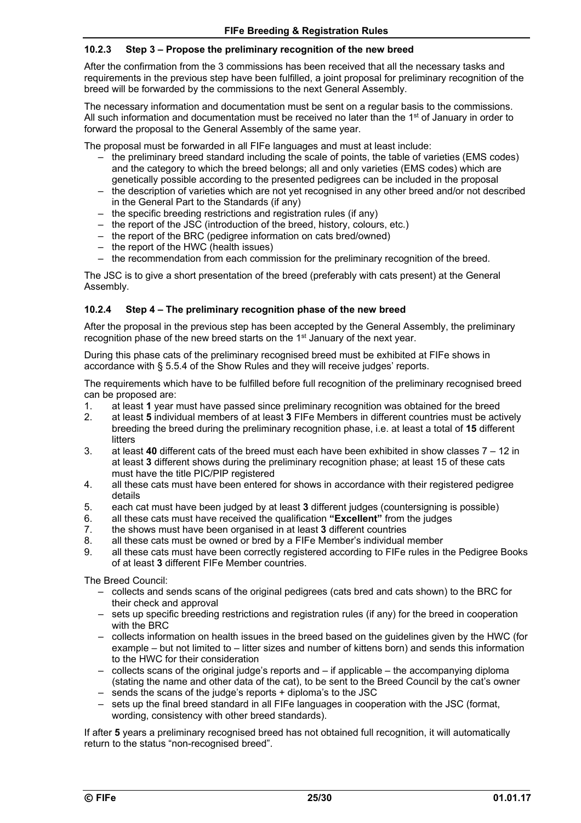### **10.2.3 Step 3 – Propose the preliminary recognition of the new breed**

After the confirmation from the 3 commissions has been received that all the necessary tasks and requirements in the previous step have been fulfilled, a joint proposal for preliminary recognition of the breed will be forwarded by the commissions to the next General Assembly.

The necessary information and documentation must be sent on a regular basis to the commissions. All such information and documentation must be received no later than the  $1<sup>st</sup>$  of January in order to forward the proposal to the General Assembly of the same year.

The proposal must be forwarded in all FIFe languages and must at least include:

- $-$  the preliminary breed standard including the scale of points, the table of varieties (EMS codes) and the category to which the breed belongs; all and only varieties (EMS codes) which are genetically possible according to the presented pedigrees can be included in the proposal
- the description of varieties which are not yet recognised in any other breed and/or not described in the General Part to the Standards (if any)
- the specific breeding restrictions and registration rules (if any)
- the report of the JSC (introduction of the breed, history, colours, etc.)
- the report of the BRC (pedigree information on cats bred/owned)
- the report of the HWC (health issues)
- the recommendation from each commission for the preliminary recognition of the breed.

The JSC is to give a short presentation of the breed (preferably with cats present) at the General Assembly.

#### **10.2.4 Step 4 – The preliminary recognition phase of the new breed**

After the proposal in the previous step has been accepted by the General Assembly, the preliminary recognition phase of the new breed starts on the 1st January of the next year.

During this phase cats of the preliminary recognised breed must be exhibited at FIFe shows in accordance with § 5.5.4 of the Show Rules and they will receive judges' reports.

The requirements which have to be fulfilled before full recognition of the preliminary recognised breed can be proposed are:

- 1. at least **1** year must have passed since preliminary recognition was obtained for the breed
- 2. at least **5** individual members of at least **3** FIFe Members in different countries must be actively breeding the breed during the preliminary recognition phase, i.e. at least a total of **15** different litters
- 3. at least **40** different cats of the breed must each have been exhibited in show classes 7 12 in at least **3** different shows during the preliminary recognition phase; at least 15 of these cats must have the title PIC/PIP registered
- 4. all these cats must have been entered for shows in accordance with their registered pedigree details
- 5. each cat must have been judged by at least **3** different judges (countersigning is possible)
- 6. all these cats must have received the qualification **"Excellent"** from the judges
- 7. the shows must have been organised in at least **3** different countries
- 8. all these cats must be owned or bred by a FIFe Member's individual member
- 9. all these cats must have been correctly registered according to FIFe rules in the Pedigree Books of at least **3** different FIFe Member countries.

The Breed Council:

- collects and sends scans of the original pedigrees (cats bred and cats shown) to the BRC for their check and approval
- sets up specific breeding restrictions and registration rules (if any) for the breed in cooperation with the BRC
- collects information on health issues in the breed based on the guidelines given by the HWC (for example – but not limited to – litter sizes and number of kittens born) and sends this information to the HWC for their consideration
- collects scans of the original judge's reports and if applicable the accompanying diploma (stating the name and other data of the cat), to be sent to the Breed Council by the cat's owner
- sends the scans of the judge's reports + diploma's to the JSC
- sets up the final breed standard in all FIFe languages in cooperation with the JSC (format, wording, consistency with other breed standards).

If after **5** years a preliminary recognised breed has not obtained full recognition, it will automatically return to the status "non-recognised breed".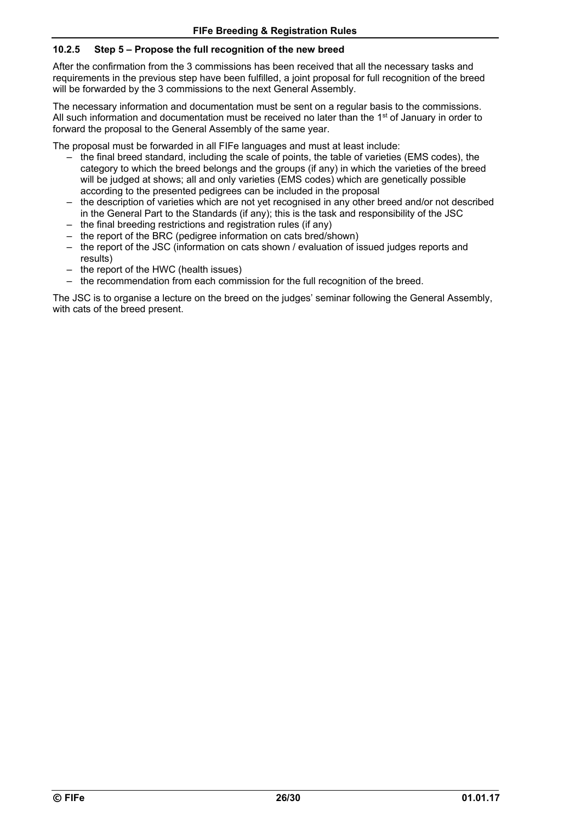### **10.2.5 Step 5 – Propose the full recognition of the new breed**

After the confirmation from the 3 commissions has been received that all the necessary tasks and requirements in the previous step have been fulfilled, a joint proposal for full recognition of the breed will be forwarded by the 3 commissions to the next General Assembly.

The necessary information and documentation must be sent on a regular basis to the commissions. All such information and documentation must be received no later than the 1<sup>st</sup> of January in order to forward the proposal to the General Assembly of the same year.

The proposal must be forwarded in all FIFe languages and must at least include:

- the final breed standard, including the scale of points, the table of varieties (EMS codes), the category to which the breed belongs and the groups (if any) in which the varieties of the breed will be judged at shows; all and only varieties (EMS codes) which are genetically possible according to the presented pedigrees can be included in the proposal
- the description of varieties which are not yet recognised in any other breed and/or not described in the General Part to the Standards (if any); this is the task and responsibility of the JSC
- the final breeding restrictions and registration rules (if any)
- the report of the BRC (pedigree information on cats bred/shown)
- the report of the JSC (information on cats shown / evaluation of issued judges reports and results)
- the report of the HWC (health issues)
- the recommendation from each commission for the full recognition of the breed.

The JSC is to organise a lecture on the breed on the judges' seminar following the General Assembly, with cats of the breed present.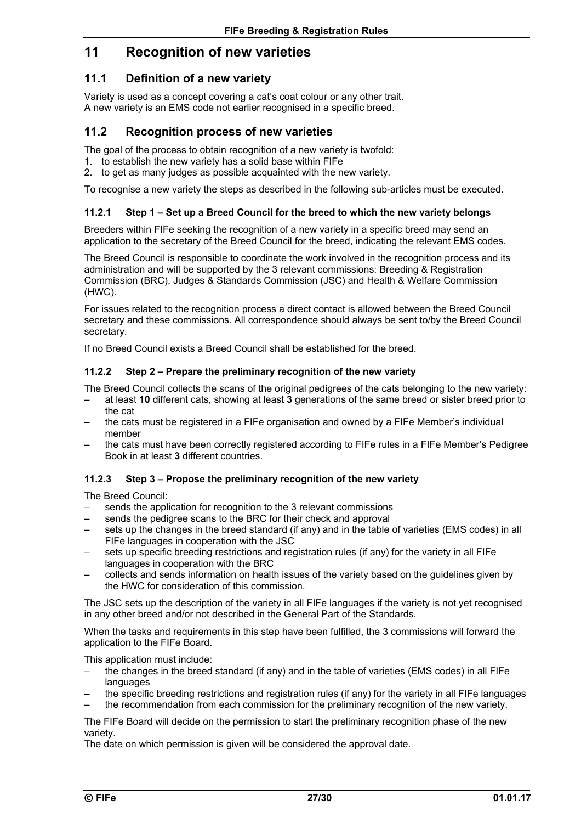# **11 Recognition of new varieties**

### **11.1 Definition of a new variety**

Variety is used as a concept covering a cat's coat colour or any other trait. A new variety is an EMS code not earlier recognised in a specific breed.

### **11.2 Recognition process of new varieties**

The goal of the process to obtain recognition of a new variety is twofold:

- 1. to establish the new variety has a solid base within FIFe
- 2. to get as many judges as possible acquainted with the new variety.

To recognise a new variety the steps as described in the following sub-articles must be executed.

### **11.2.1 Step 1 – Set up a Breed Council for the breed to which the new variety belongs**

Breeders within FIFe seeking the recognition of a new variety in a specific breed may send an application to the secretary of the Breed Council for the breed, indicating the relevant EMS codes.

The Breed Council is responsible to coordinate the work involved in the recognition process and its administration and will be supported by the 3 relevant commissions: Breeding & Registration Commission (BRC), Judges & Standards Commission (JSC) and Health & Welfare Commission (HWC).

For issues related to the recognition process a direct contact is allowed between the Breed Council secretary and these commissions. All correspondence should always be sent to/by the Breed Council secretary.

If no Breed Council exists a Breed Council shall be established for the breed.

#### **11.2.2 Step 2 – Prepare the preliminary recognition of the new variety**

The Breed Council collects the scans of the original pedigrees of the cats belonging to the new variety:

- at least **10** different cats, showing at least **3** generations of the same breed or sister breed prior to the cat
- the cats must be registered in a FIFe organisation and owned by a FIFe Member's individual member
- the cats must have been correctly registered according to FIFe rules in a FIFe Member's Pedigree Book in at least **3** different countries.

#### **11.2.3 Step 3 – Propose the preliminary recognition of the new variety**

The Breed Council:

- sends the application for recognition to the 3 relevant commissions
- sends the pedigree scans to the BRC for their check and approval
- sets up the changes in the breed standard (if any) and in the table of varieties (EMS codes) in all FIFe languages in cooperation with the JSC
- sets up specific breeding restrictions and registration rules (if any) for the variety in all FIFe languages in cooperation with the BRC
- collects and sends information on health issues of the variety based on the guidelines given by the HWC for consideration of this commission.

The JSC sets up the description of the variety in all FIFe languages if the variety is not yet recognised in any other breed and/or not described in the General Part of the Standards.

When the tasks and requirements in this step have been fulfilled, the 3 commissions will forward the application to the FIFe Board.

This application must include:

- the changes in the breed standard (if any) and in the table of varieties (EMS codes) in all FIFe languages
- the specific breeding restrictions and registration rules (if any) for the variety in all FIFe languages
- the recommendation from each commission for the preliminary recognition of the new variety.

The FIFe Board will decide on the permission to start the preliminary recognition phase of the new variety.

The date on which permission is given will be considered the approval date.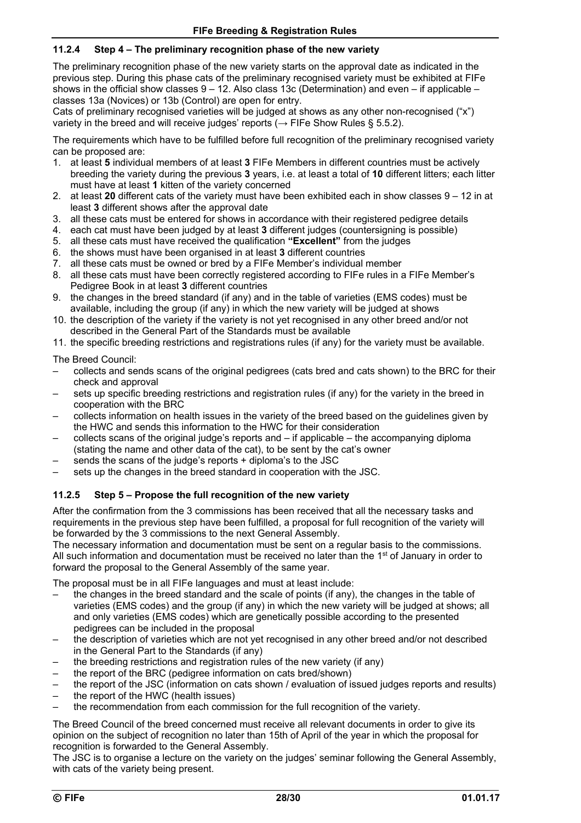### **11.2.4 Step 4 – The preliminary recognition phase of the new variety**

The preliminary recognition phase of the new variety starts on the approval date as indicated in the previous step. During this phase cats of the preliminary recognised variety must be exhibited at FIFe shows in the official show classes  $9 - 12$ . Also class 13c (Determination) and even – if applicable – classes 13a (Novices) or 13b (Control) are open for entry.

Cats of preliminary recognised varieties will be judged at shows as any other non-recognised ("x") variety in the breed and will receive judges' reports ( $\rightarrow$  FIFe Show Rules § 5.5.2).

The requirements which have to be fulfilled before full recognition of the preliminary recognised variety can be proposed are:

- 1. at least **5** individual members of at least **3** FIFe Members in different countries must be actively breeding the variety during the previous **3** years, i.e. at least a total of **10** different litters; each litter must have at least **1** kitten of the variety concerned
- 2. at least **20** different cats of the variety must have been exhibited each in show classes 9 12 in at least **3** different shows after the approval date
- 3. all these cats must be entered for shows in accordance with their registered pedigree details
- 4. each cat must have been judged by at least **3** different judges (countersigning is possible)
- 5. all these cats must have received the qualification **"Excellent"** from the judges
- 6. the shows must have been organised in at least **3** different countries
- 7. all these cats must be owned or bred by a FIFe Member's individual member
- 8. all these cats must have been correctly registered according to FIFe rules in a FIFe Member's Pedigree Book in at least **3** different countries
- 9. the changes in the breed standard (if any) and in the table of varieties (EMS codes) must be available, including the group (if any) in which the new variety will be judged at shows
- 10. the description of the variety if the variety is not yet recognised in any other breed and/or not described in the General Part of the Standards must be available
- 11. the specific breeding restrictions and registrations rules (if any) for the variety must be available.

The Breed Council:

- collects and sends scans of the original pedigrees (cats bred and cats shown) to the BRC for their check and approval
- sets up specific breeding restrictions and registration rules (if any) for the variety in the breed in cooperation with the BRC
- collects information on health issues in the variety of the breed based on the guidelines given by the HWC and sends this information to the HWC for their consideration
- collects scans of the original judge's reports and  $-$  if applicable  $-$  the accompanying diploma (stating the name and other data of the cat), to be sent by the cat's owner
- sends the scans of the judge's reports + diploma's to the JSC
- sets up the changes in the breed standard in cooperation with the JSC.

### **11.2.5 Step 5 – Propose the full recognition of the new variety**

After the confirmation from the 3 commissions has been received that all the necessary tasks and requirements in the previous step have been fulfilled, a proposal for full recognition of the variety will be forwarded by the 3 commissions to the next General Assembly.

The necessary information and documentation must be sent on a regular basis to the commissions. All such information and documentation must be received no later than the 1<sup>st</sup> of January in order to forward the proposal to the General Assembly of the same year.

The proposal must be in all FIFe languages and must at least include:

- the changes in the breed standard and the scale of points (if any), the changes in the table of varieties (EMS codes) and the group (if any) in which the new variety will be judged at shows; all and only varieties (EMS codes) which are genetically possible according to the presented pedigrees can be included in the proposal
- the description of varieties which are not yet recognised in any other breed and/or not described in the General Part to the Standards (if any)
- the breeding restrictions and registration rules of the new variety (if any)
- the report of the BRC (pedigree information on cats bred/shown)
- the report of the JSC (information on cats shown / evaluation of issued judges reports and results)
- the report of the HWC (health issues)
- the recommendation from each commission for the full recognition of the variety.

The Breed Council of the breed concerned must receive all relevant documents in order to give its opinion on the subject of recognition no later than 15th of April of the year in which the proposal for recognition is forwarded to the General Assembly.

The JSC is to organise a lecture on the variety on the judges' seminar following the General Assembly, with cats of the variety being present.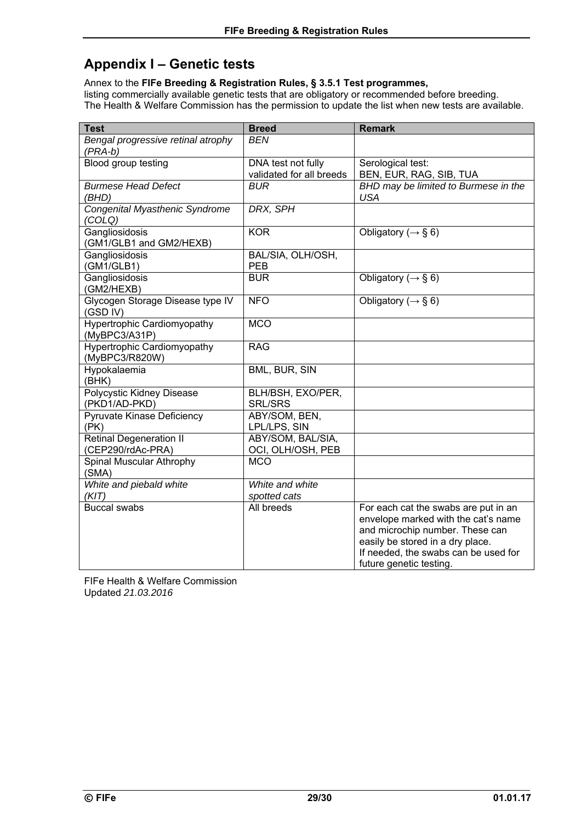# **Appendix I – Genetic tests**

Annex to the **FIFe Breeding & Registration Rules, § 3.5.1 Test programmes,** listing commercially available genetic tests that are obligatory or recommended before breeding. The Health & Welfare Commission has the permission to update the list when new tests are available.

| <b>Test</b>                                          | <b>Breed</b>                                   | <b>Remark</b>                                                                                                                                                                                                         |
|------------------------------------------------------|------------------------------------------------|-----------------------------------------------------------------------------------------------------------------------------------------------------------------------------------------------------------------------|
| Bengal progressive retinal atrophy<br>$(PRA-b)$      | <b>BEN</b>                                     |                                                                                                                                                                                                                       |
| Blood group testing                                  | DNA test not fully<br>validated for all breeds | Serological test:<br>BEN, EUR, RAG, SIB, TUA                                                                                                                                                                          |
| <b>Burmese Head Defect</b><br>(BHD)                  | <b>BUR</b>                                     | BHD may be limited to Burmese in the<br><b>USA</b>                                                                                                                                                                    |
| Congenital Myasthenic Syndrome<br>(COLQ)             | DRX, SPH                                       |                                                                                                                                                                                                                       |
| Gangliosidosis<br>(GM1/GLB1 and GM2/HEXB)            | <b>KOR</b>                                     | Obligatory ( $\rightarrow$ § 6)                                                                                                                                                                                       |
| Gangliosidosis<br>(GM1/GLB1)                         | BAL/SIA, OLH/OSH,<br><b>PEB</b>                |                                                                                                                                                                                                                       |
| Gangliosidosis<br>(GM2/HEXB)                         | <b>BUR</b>                                     | Obligatory ( $\rightarrow$ § 6)                                                                                                                                                                                       |
| Glycogen Storage Disease type IV<br>(GSD IV)         | <b>NFO</b>                                     | Obligatory ( $\rightarrow$ § 6)                                                                                                                                                                                       |
| <b>Hypertrophic Cardiomyopathy</b><br>(MyBPC3/A31P)  | <b>MCO</b>                                     |                                                                                                                                                                                                                       |
| <b>Hypertrophic Cardiomyopathy</b><br>(MyBPC3/R820W) | <b>RAG</b>                                     |                                                                                                                                                                                                                       |
| Hypokalaemia<br>(BHK)                                | BML, BUR, SIN                                  |                                                                                                                                                                                                                       |
| Polycystic Kidney Disease<br>(PKD1/AD-PKD)           | BLH/BSH, EXO/PER,<br><b>SRL/SRS</b>            |                                                                                                                                                                                                                       |
| Pyruvate Kinase Deficiency<br>(PK)                   | ABY/SOM, BEN,<br>LPL/LPS, SIN                  |                                                                                                                                                                                                                       |
| <b>Retinal Degeneration II</b><br>(CEP290/rdAc-PRA)  | ABY/SOM, BAL/SIA,<br>OCI, OLH/OSH, PEB         |                                                                                                                                                                                                                       |
| Spinal Muscular Athrophy<br>(SMA)                    | <b>MCO</b>                                     |                                                                                                                                                                                                                       |
| White and piebald white<br>(KIT)                     | White and white<br>spotted cats                |                                                                                                                                                                                                                       |
| <b>Buccal swabs</b>                                  | All breeds                                     | For each cat the swabs are put in an<br>envelope marked with the cat's name<br>and microchip number. These can<br>easily be stored in a dry place.<br>If needed, the swabs can be used for<br>future genetic testing. |

FIFe Health & Welfare Commission Updated *21.03.2016*